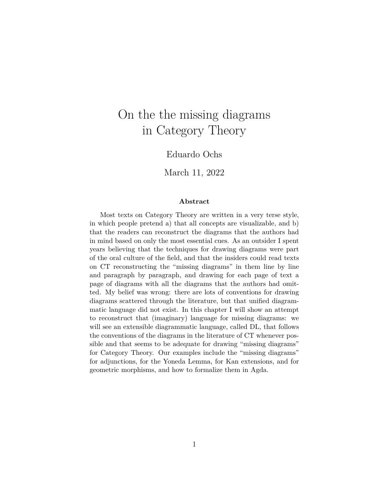# On the the missing diagrams in Category Theory

Eduardo Ochs

March 11, 2022

#### **Abstract**

Most texts on Category Theory are written in a very terse style, in which people pretend a) that all concepts are visualizable, and b) that the readers can reconstruct the diagrams that the authors had in mind based on only the most essential cues. As an outsider I spent years believing that the techniques for drawing diagrams were part of the oral culture of the field, and that the insiders could read texts on CT reconstructing the "missing diagrams" in them line by line and paragraph by paragraph, and drawing for each page of text a page of diagrams with all the diagrams that the authors had omitted. My belief was wrong: there are lots of conventions for drawing diagrams scattered through the literature, but that unified diagrammatic language did not exist. In this chapter I will show an attempt to reconstruct that (imaginary) language for missing diagrams: we will see an extensible diagrammatic language, called DL, that follows the conventions of the diagrams in the literature of CT whenever possible and that seems to be adequate for drawing "missing diagrams" for Category Theory. Our examples include the "missing diagrams" for adjunctions, for the Yoneda Lemma, for Kan extensions, and for geometric morphisms, and how to formalize them in Agda.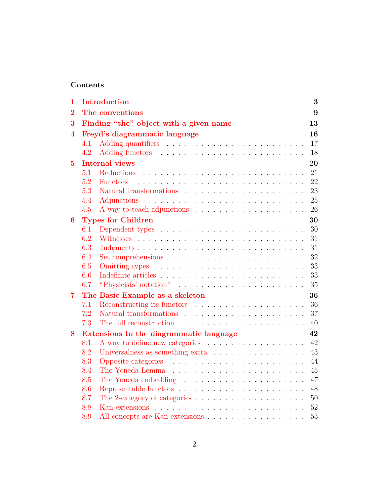## **Contents**

| $\mathbf 1$    |                                               | <b>Introduction</b>                                                                                                                                                                                                           | 3  |  |  |
|----------------|-----------------------------------------------|-------------------------------------------------------------------------------------------------------------------------------------------------------------------------------------------------------------------------------|----|--|--|
| 2              |                                               | The conventions<br>9                                                                                                                                                                                                          |    |  |  |
| 3              |                                               | Finding "the" object with a given name                                                                                                                                                                                        | 13 |  |  |
| 4              | Freyd's diagrammatic language                 |                                                                                                                                                                                                                               |    |  |  |
|                | 4.1                                           |                                                                                                                                                                                                                               | 17 |  |  |
|                | 4.2                                           |                                                                                                                                                                                                                               | 18 |  |  |
| $\bf{5}$       |                                               | <b>Internal views</b>                                                                                                                                                                                                         | 20 |  |  |
|                | 5.1                                           | Reductions                                                                                                                                                                                                                    | 21 |  |  |
|                | 5.2                                           | <b>Functors</b>                                                                                                                                                                                                               | 22 |  |  |
|                | 5.3                                           |                                                                                                                                                                                                                               | 23 |  |  |
|                | 5.4                                           | Adjunctions                                                                                                                                                                                                                   | 25 |  |  |
|                | 5.5                                           |                                                                                                                                                                                                                               | 26 |  |  |
| 6              |                                               | <b>Types for Children</b>                                                                                                                                                                                                     | 30 |  |  |
|                | 6.1                                           |                                                                                                                                                                                                                               | 30 |  |  |
|                | 6.2                                           |                                                                                                                                                                                                                               | 31 |  |  |
|                | 6.3                                           | Judgments                                                                                                                                                                                                                     | 31 |  |  |
|                | 6.4                                           |                                                                                                                                                                                                                               | 32 |  |  |
|                | 6.5                                           |                                                                                                                                                                                                                               | 33 |  |  |
|                | 6.6                                           |                                                                                                                                                                                                                               | 33 |  |  |
|                | 6.7                                           | "Physicists' notation" $\ldots \ldots \ldots \ldots \ldots \ldots \ldots \ldots$                                                                                                                                              | 35 |  |  |
| $\overline{7}$ |                                               | The Basic Example as a skeleton                                                                                                                                                                                               | 36 |  |  |
|                | 7.1                                           |                                                                                                                                                                                                                               | 36 |  |  |
|                | 7.2                                           |                                                                                                                                                                                                                               | 37 |  |  |
|                | 7.3                                           | The full reconstruction (a) in the set of the set of the set of the set of the set of the set of the set of the set of the set of the set of the set of the set of the set of the set of the set of the set of the set of the | 40 |  |  |
| 8              | Extensions to the diagrammatic language<br>42 |                                                                                                                                                                                                                               |    |  |  |
|                | 8.1                                           |                                                                                                                                                                                                                               | 42 |  |  |
|                | 8.2                                           | Universalness as something extra                                                                                                                                                                                              | 43 |  |  |
|                | 8.3                                           |                                                                                                                                                                                                                               | 44 |  |  |
|                | 8.4                                           |                                                                                                                                                                                                                               | 45 |  |  |
|                | 8.5                                           |                                                                                                                                                                                                                               | 47 |  |  |
|                | 8.6                                           |                                                                                                                                                                                                                               | 48 |  |  |
|                | 8.7                                           | The 2-category of categories $\hfill\ldots\ldots\ldots\ldots\ldots\ldots\ldots\ldots\ldots\ldots$                                                                                                                             | 50 |  |  |
|                | 8.8                                           |                                                                                                                                                                                                                               | 52 |  |  |
|                | 8.9                                           | All concepts are Kan extensions                                                                                                                                                                                               | 53 |  |  |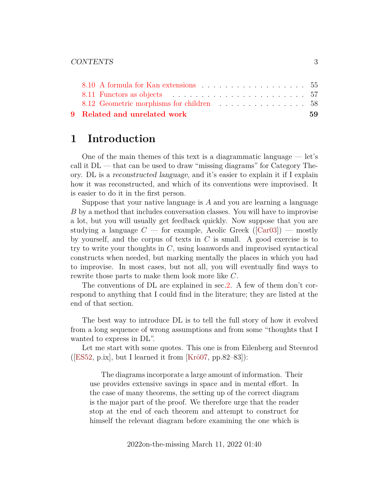| 9 Related and unrelated work | 59 |
|------------------------------|----|
|                              |    |
|                              |    |
|                              |    |

## <span id="page-2-0"></span>**1 Introduction**

One of the main themes of this text is a diagrammatic language  $-$  let's call it  $DL$  — that can be used to draw "missing diagrams" for Category Theory. DL is a reconstructed language, and it's easier to explain it if I explain how it was reconstructed, and which of its conventions were improvised. It is easier to do it in the first person.

Suppose that your native language is  $A$  and you are learning a language B by a method that includes conversation classes. You will have to improvise a lot, but you will usually get feedback quickly. Now suppose that you are studyinga language  $C$  — for example, Aeolic Greek ([\[Car03\]](#page-60-0)) — mostly by yourself, and the corpus of texts in  $C$  is small. A good exercise is to try to write your thoughts in  $C$ , using loanwords and improvised syntactical constructs when needed, but marking mentally the places in which you had to improvise. In most cases, but not all, you will eventually find ways to rewrite those parts to make them look more like C.

The conventions of DL are explained in sec[.2.](#page-8-0) A few of them don't correspond to anything that I could find in the literature; they are listed at the end of that section.

The best way to introduce DL is to tell the full story of how it evolved from a long sequence of wrong assumptions and from some "thoughts that I wanted to express in DL".

Let me start with some quotes. This one is from Eilenberg and Steenrod ([\[ES52,](#page-60-1) p.ix], but I learned it from  $[Kr\ddot{o}07, pp.82-83]$ ):

The diagrams incorporate a large amount of information. Their use provides extensive savings in space and in mental effort. In the case of many theorems, the setting up of the correct diagram is the major part of the proof. We therefore urge that the reader stop at the end of each theorem and attempt to construct for himself the relevant diagram before examining the one which is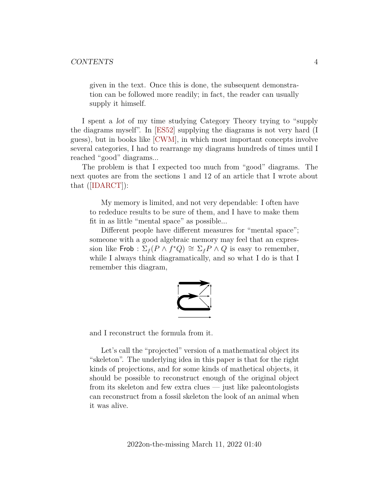given in the text. Once this is done, the subsequent demonstration can be followed more readily; in fact, the reader can usually supply it himself.

I spent a lot of my time studying Category Theory trying to "supply the diagrams myself". In [\[ES52\]](#page-60-1) supplying the diagrams is not very hard (I guess), but in books like [\[CWM\]](#page-60-2), in which most important concepts involve several categories, I had to rearrange my diagrams hundreds of times until I reached "good" diagrams...

The problem is that I expected too much from "good" diagrams. The next quotes are from the sections 1 and 12 of an article that I wrote about that([\[IDARCT\]](#page-61-1)):

My memory is limited, and not very dependable: I often have to rededuce results to be sure of them, and I have to make them fit in as little "mental space" as possible...

Different people have different measures for "mental space"; someone with a good algebraic memory may feel that an expression like Frob :  $\Sigma_f(P \wedge f^*Q) \cong \Sigma_f P \wedge Q$  is easy to remember, while I always think diagramatically, and so what I do is that I remember this diagram,



and I reconstruct the formula from it.

Let's call the "projected" version of a mathematical object its "skeleton". The underlying idea in this paper is that for the right kinds of projections, and for some kinds of mathetical objects, it should be possible to reconstruct enough of the original object from its skeleton and few extra clues — just like paleontologists can reconstruct from a fossil skeleton the look of an animal when it was alive.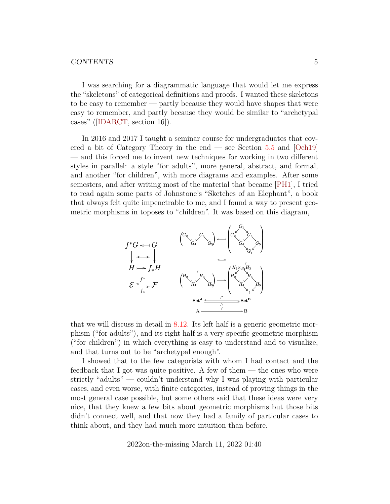#### CONTENTS 5

I was searching for a diagrammatic language that would let me express the "skeletons" of categorical definitions and proofs. I wanted these skeletons to be easy to remember — partly because they would have shapes that were easy to remember, and partly because they would be similar to "archetypal cases"([\[IDARCT,](#page-61-1) section 16]).

In 2016 and 2017 I taught a seminar course for undergraduates that covered a bit of Category Theory in the end — see Section [5.5](#page-25-0) and [\[Och19\]](#page-62-0) — and this forced me to invent new techniques for working in two different styles in parallel: a style "for adults", more general, abstract, and formal, and another "for children", with more diagrams and examples. After some semesters, and after writing most of the material that became [\[PH1\]](#page-63-0), I tried to read again some parts of Johnstone's "Sketches of an Elephant", a book that always felt quite impenetrable to me, and I found a way to present geometric morphisms in toposes to "children". It was based on this diagram,



that we will discuss in detail in [8.12.](#page-57-0) Its left half is a generic geometric morphism ("for adults"), and its right half is a very specific geometric morphism ("for children") in which everything is easy to understand and to visualize, and that turns out to be "archetypal enough".

I showed that to the few categorists with whom I had contact and the feedback that I got was quite positive. A few of them — the ones who were strictly "adults" — couldn't understand why I was playing with particular cases, and even worse, with finite categories, instead of proving things in the most general case possible, but some others said that these ideas were very nice, that they knew a few bits about geometric morphisms but those bits didn't connect well, and that now they had a family of particular cases to think about, and they had much more intuition than before.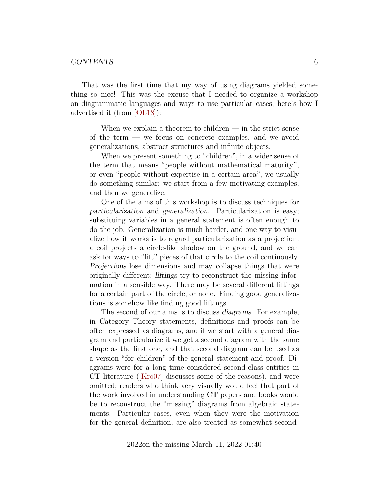That was the first time that my way of using diagrams yielded something so nice! This was the excuse that I needed to organize a workshop on diagrammatic languages and ways to use particular cases; here's how I advertised it (from [\[OL18\]](#page-63-1)):

When we explain a theorem to children — in the strict sense of the term — we focus on concrete examples, and we avoid generalizations, abstract structures and infinite objects.

When we present something to "children", in a wider sense of the term that means "people without mathematical maturity", or even "people without expertise in a certain area", we usually do something similar: we start from a few motivating examples, and then we generalize.

One of the aims of this workshop is to discuss techniques for particularization and generalization. Particularization is easy; substituing variables in a general statement is often enough to do the job. Generalization is much harder, and one way to visualize how it works is to regard particularization as a projection: a coil projects a circle-like shadow on the ground, and we can ask for ways to "lift" pieces of that circle to the coil continously. Projections lose dimensions and may collapse things that were originally different; liftings try to reconstruct the missing information in a sensible way. There may be several different liftings for a certain part of the circle, or none. Finding good generalizations is somehow like finding good liftings.

The second of our aims is to discuss diagrams. For example, in Category Theory statements, definitions and proofs can be often expressed as diagrams, and if we start with a general diagram and particularize it we get a second diagram with the same shape as the first one, and that second diagram can be used as a version "for children" of the general statement and proof. Diagrams were for a long time considered second-class entities in CT literature([\[Krö07\]](#page-61-0) discusses some of the reasons), and were omitted; readers who think very visually would feel that part of the work involved in understanding CT papers and books would be to reconstruct the "missing" diagrams from algebraic statements. Particular cases, even when they were the motivation for the general definition, are also treated as somewhat second-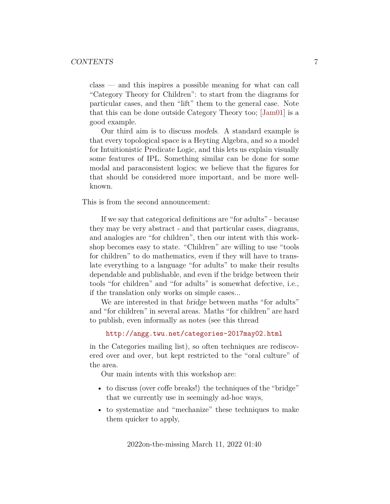class — and this inspires a possible meaning for what can call "Category Theory for Children": to start from the diagrams for particular cases, and then "lift" them to the general case. Note that this can be done outside Category Theory too; [\[Jam01\]](#page-61-2) is a good example.

Our third aim is to discuss models. A standard example is that every topological space is a Heyting Algebra, and so a model for Intuitionistic Predicate Logic, and this lets us explain visually some features of IPL. Something similar can be done for some modal and paraconsistent logics; we believe that the figures for that should be considered more important, and be more wellknown.

This is from the second announcement:

If we say that categorical definitions are "for adults" - because they may be very abstract - and that particular cases, diagrams, and analogies are "for children", then our intent with this workshop becomes easy to state. "Children" are willing to use "tools for children" to do mathematics, even if they will have to translate everything to a language "for adults" to make their results dependable and publishable, and even if the bridge between their tools "for children" and "for adults" is somewhat defective, i.e., if the translation only works on simple cases...

We are interested in that bridge between maths "for adults" and "for children" in several areas. Maths "for children" are hard to publish, even informally as notes (see this thread

```
http://angg.twu.net/categories-2017may02.html
```
in the Categories mailing list), so often techniques are rediscovered over and over, but kept restricted to the "oral culture" of the area.

Our main intents with this workshop are:

- to discuss (over coffe breaks!) the techniques of the "bridge" that we currently use in seemingly ad-hoc ways,
- to systematize and "mechanize" these techniques to make them quicker to apply,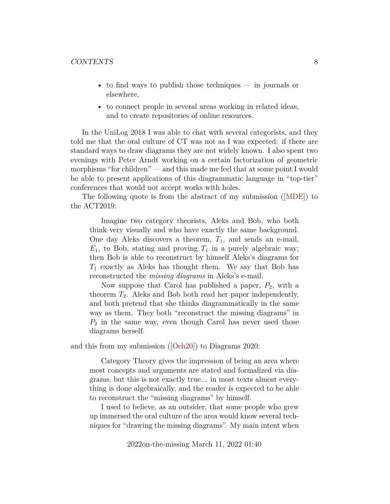- to find ways to publish those techniques in journals or elsewhere,
- to connect people in several areas working in related ideas, and to create repositories of online resources.

In the UniLog 2018 I was able to chat with several categorists, and they told me that the oral culture of CT was not as I was expected: if there are standard ways to draw diagrams they are not widely known. I also spent two evenings with Peter Arndt working on a certain factorization of geometric morphisms "for children" — and this made me feel that at some point I would be able to present applications of this diagrammatic language in "top-tier" conferences that would not accept works with holes.

The following quote is from the abstract of my submission([\[MDE\]](#page-62-1)) to the ACT2019:

Imagine two category theorists, Aleks and Bob, who both think very visually and who have exactly the same background. One day Aleks discovers a theorem,  $T_1$ , and sends an e-mail,  $E_1$ , to Bob, stating and proving  $T_1$  in a purely algebraic way; then Bob is able to reconstruct by himself Aleks's diagrams for  $T_1$  exactly as Aleks has thought them. We say that Bob has reconstructed the *missing diagrams* in Aleks's e-mail.

Now suppose that Carol has published a paper,  $P_2$ , with a theorem  $T_2$ . Aleks and Bob both read her paper independently, and both pretend that she thinks diagrammatically in the same way as them. They both "reconstruct the missing diagrams" in  $P_2$  in the same way, even though Carol has never used those diagrams herself.

and this from my submission([\[Och20\]](#page-63-2)) to Diagrams 2020:

Category Theory gives the impression of being an area where most concepts and arguments are stated and formalized via diagrams, but this is not exactly true... in most texts almost everything is done algebraically, and the reader is expected to be able to reconstruct the "missing diagrams" by himself.

I used to believe, as an outsider, that some people who grew up immersed the oral culture of the area would know several techniques for "drawing the missing diagrams". My main intent when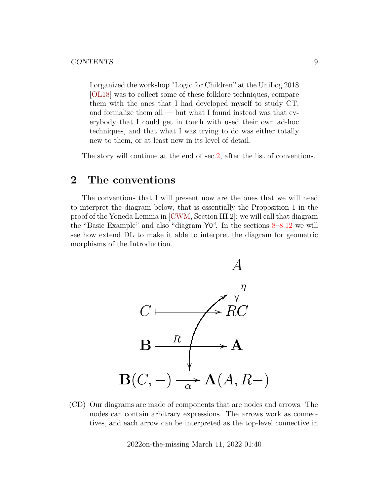I organized the workshop "Logic for Children" at the UniLog 2018 [\[OL18\]](#page-63-1) was to collect some of these folklore techniques, compare them with the ones that I had developed myself to study CT, and formalize them all — but what I found instead was that everybody that I could get in touch with used their own ad-hoc techniques, and that what I was trying to do was either totally new to them, or at least new in its level of detail.

The story will continue at the end of sec[.2,](#page-8-0) after the list of conventions.

## <span id="page-8-0"></span>**2 The conventions**

The conventions that I will present now are the ones that we will need to interpret the diagram below, that is essentially the Proposition 1 in the proof of the Yoneda Lemma in [\[CWM,](#page-60-2) Section III.2]; we will call that diagram the "Basic Example" and also "diagram  $Y0$ ". In the sections  $8-8.12$  $8-8.12$  we will see how extend DL to make it able to interpret the diagram for geometric morphisms of the Introduction.



(CD) Our diagrams are made of components that are nodes and arrows. The nodes can contain arbitrary expressions. The arrows work as connectives, and each arrow can be interpreted as the top-level connective in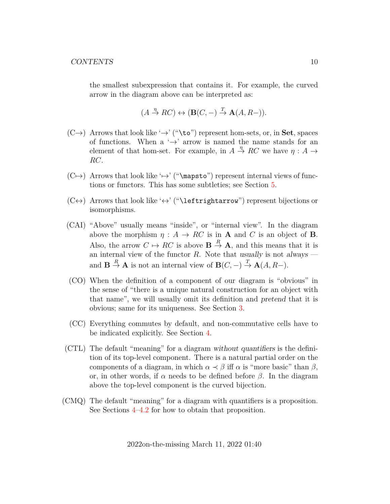the smallest subexpression that contains it. For example, the curved arrow in the diagram above can be interpreted as:

$$
(A \stackrel{\eta}{\to} RC) \leftrightarrow (\mathbf{B}(C, -) \stackrel{T}{\to} \mathbf{A}(A, R-)).
$$

- $(C\rightarrow)$  Arrows that look like ' $\rightarrow$ ' ("\to") represent hom-sets, or, in Set, spaces of functions. When a  $\rightarrow$  arrow is named the name stands for an element of that hom-set. For example, in  $A \stackrel{\eta}{\to} RC$  we have  $\eta : A \to$ RC.
- $(C\rightarrow)$  Arrows that look like ' $\rightarrow$ ' ("\mapsto") represent internal views of functions or functors. This has some subtleties; see Section [5.](#page-19-0)
- $(C \leftrightarrow)$  Arrows that look like ' $\leftrightarrow$ ' ("\leftrightarrow") represent bijections or isomorphisms.
- (CAI) "Above" usually means "inside", or "internal view". In the diagram above the morphism  $\eta : A \to RC$  is in **A** and *C* is an object of **B**. Also, the arrow  $C \mapsto RC$  is above  $\mathbf{B} \stackrel{R}{\to} \mathbf{A}$ , and this means that it is an internal view of the functor  $R$ . Note that usually is not always and  $\mathbf{B} \stackrel{R}{\to} \mathbf{A}$  is not an internal view of  $\mathbf{B}(C, -) \stackrel{T}{\to} \mathbf{A}(A, R-)$ .
- (CO) When the definition of a component of our diagram is "obvious" in the sense of "there is a unique natural construction for an object with that name", we will usually omit its definition and pretend that it is obvious; same for its uniqueness. See Section [3.](#page-12-0)
- (CC) Everything commutes by default, and non-commutative cells have to be indicated explicitly. See Section [4.](#page-15-0)
- (CTL) The default "meaning" for a diagram without quantifiers is the definition of its top-level component. There is a natural partial order on the components of a diagram, in which  $\alpha \prec \beta$  iff  $\alpha$  is "more basic" than  $\beta$ , or, in other words, if  $\alpha$  needs to be defined before  $\beta$ . In the diagram above the top-level component is the curved bijection.
- (CMQ) The default "meaning" for a diagram with quantifiers is a proposition. See Sections [4–](#page-15-0)[4.2](#page-17-0) for how to obtain that proposition.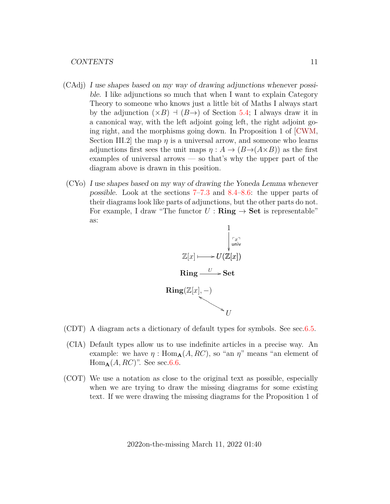- (CAdj) I use shapes based on my way of drawing adjunctions whenever possible. I like adjunctions so much that when I want to explain Category Theory to someone who knows just a little bit of Maths I always start by the adjunction  $(\times B)$   $\neg$  ( $B\rightarrow$ ) of Section [5.4;](#page-24-0) I always draw it in a canonical way, with the left adjoint going left, the right adjoint going right, and the morphisms going down. In Proposition 1 of [\[CWM,](#page-60-2) Section III.2 the map  $\eta$  is a universal arrow, and someone who learns adjunctions first sees the unit maps  $\eta : A \to (B \to (A \times B))$  as the first examples of universal arrows — so that's why the upper part of the diagram above is drawn in this position.
- (CYo) I use shapes based on my way of drawing the Yoneda Lemma whenever possible. Look at the sections [7–](#page-35-0)[7.3](#page-39-0) and [8.4–](#page-44-0)[8.6:](#page-47-0) the upper parts of their diagrams look like parts of adjunctions, but the other parts do not. For example, I draw "The functor  $U : \mathbf{Ring} \to \mathbf{Set}$  is representable" as:



- (CDT) A diagram acts a dictionary of default types for symbols. See sec[.6.5.](#page-32-0)
- (CIA) Default types allow us to use indefinite articles in a precise way. An example: we have  $\eta$ : Hom<sub>A</sub> $(A, RC)$ , so "an  $\eta$ " means "an element of  $Hom_{\mathbf{A}}(A, RC)$ ". See sec[.6.6.](#page-32-1)
- (COT) We use a notation as close to the original text as possible, especially when we are trying to draw the missing diagrams for some existing text. If we were drawing the missing diagrams for the Proposition 1 of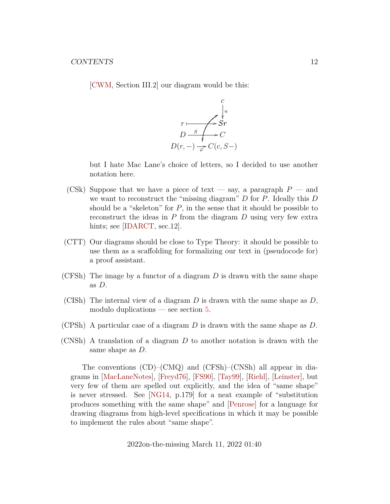[\[CWM,](#page-60-2) Section III.2] our diagram would be this:



but I hate Mac Lane's choice of letters, so I decided to use another notation here.

- (CSk) Suppose that we have a piece of text say, a paragraph  $P$  and we want to reconstruct the "missing diagram"  $D$  for  $P$ . Ideally this  $D$ should be a "skeleton" for  $P$ , in the sense that it should be possible to reconstruct the ideas in  $P$  from the diagram  $D$  using very few extra hints; see [\[IDARCT,](#page-61-1) sec.12].
- (CTT) Our diagrams should be close to Type Theory: it should be possible to use them as a scaffolding for formalizing our text in (pseudocode for) a proof assistant.
- (CFSh) The image by a functor of a diagram  $D$  is drawn with the same shape as D.
- (CISh) The internal view of a diagram  $D$  is drawn with the same shape as  $D$ , modulo duplications — see section [5.](#page-19-0)
- (CPSh) A particular case of a diagram D is drawn with the same shape as  $D$ .
- (CNSh) A translation of a diagram  $D$  to another notation is drawn with the same shape as D.

The conventions (CD)–(CMQ) and (CFSh)–(CNSh) all appear in diagrams in [\[MacLaneNotes\]](#page-62-2), [\[Freyd76\]](#page-61-3), [\[FS90\]](#page-61-4), [\[Tay99\]](#page-64-0), [\[Riehl\]](#page-63-3), [\[Leinster\]](#page-62-3), but very few of them are spelled out explicitly, and the idea of "same shape" is never stressed. See [\[NG14,](#page-62-4) p.179] for a neat example of "substitution produces something with the same shape" and [\[Penrose\]](#page-63-4) for a language for drawing diagrams from high-level specifications in which it may be possible to implement the rules about "same shape".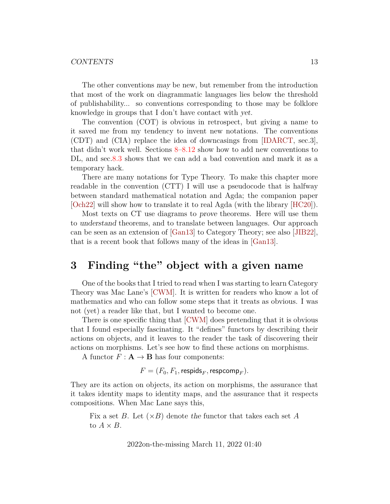#### CONTENTS 13

The other conventions may be new, but remember from the introduction that most of the work on diagrammatic languages lies below the threshold of publishability... so conventions corresponding to those may be folklore knowledge in groups that I don't have contact with yet.

The convention (COT) is obvious in retrospect, but giving a name to it saved me from my tendency to invent new notations. The conventions (CDT) and (CIA) replace the idea of downcasings from [\[IDARCT,](#page-61-1) sec.3], that didn't work well. Sections [8–](#page-41-0)[8.12](#page-57-0) show how to add new conventions to DL, and sec[.8.3](#page-43-0) shows that we can add a bad convention and mark it as a temporary hack.

There are many notations for Type Theory. To make this chapter more readable in the convention (CTT) I will use a pseudocode that is halfway between standard mathematical notation and Agda; the companion paper [\[Och22\]](#page-63-5) will show how to translate it to real Agda (with the library [\[HC20\]](#page-61-5)).

Most texts on CT use diagrams to prove theorems. Here will use them to understand theorems, and to translate between languages. Our approach can be seen as an extension of [\[Gan13\]](#page-61-6) to Category Theory; see also [\[JIB22\]](#page-61-7), that is a recent book that follows many of the ideas in [\[Gan13\]](#page-61-6).

## <span id="page-12-0"></span>**3 Finding "the" object with a given name**

One of the books that I tried to read when I was starting to learn Category Theory was Mac Lane's [\[CWM\]](#page-60-2). It is written for readers who know a lot of mathematics and who can follow some steps that it treats as obvious. I was not (yet) a reader like that, but I wanted to become one.

There is one specific thing that [\[CWM\]](#page-60-2) does pretending that it is obvious that I found especially fascinating. It "defines" functors by describing their actions on objects, and it leaves to the reader the task of discovering their actions on morphisms. Let's see how to find these actions on morphisms.

A functor  $F: \mathbf{A} \to \mathbf{B}$  has four components:

$$
F=(F_0,F_1,\mathsf{respids}_F,\mathsf{respcomp}_F).
$$

They are its action on objects, its action on morphisms, the assurance that it takes identity maps to identity maps, and the assurance that it respects compositions. When Mac Lane says this,

Fix a set B. Let  $(\times B)$  denote the functor that takes each set A to  $A \times B$ .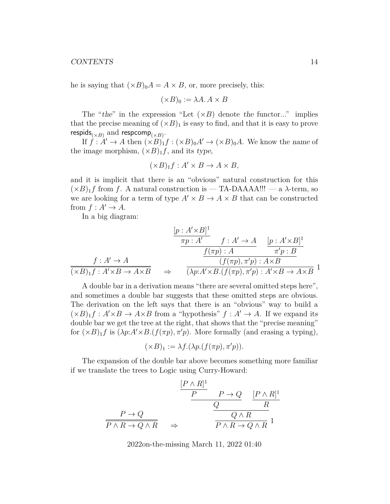#### CONTENTS 14

he is saying that  $(\times B)_0 A = A \times B$ , or, more precisely, this:

$$
(\times B)_0 := \lambda A. A \times B
$$

The "the" in the expression "Let  $(\times B)$  denote the functor..." implies that the precise meaning of  $(\times B)_1$  is easy to find, and that it is easy to prove respids<sub>( $\times B$ )</sub> and respcomp<sub>( $\times B$ )</sub>.

If  $\hat{f} : A' \to A$  then  $(\times B)_1 f : (\times B)_0 A' \to (\times B)_0 A$ . We know the name of the image morphism,  $(\times B)_1 f$ , and its type,

$$
(\times B)_{1}f : A' \times B \to A \times B,
$$

and it is implicit that there is an "obvious" natural construction for this  $(\times B)_1 f$  from f. A natural construction is — TA-DAAAA!!! — a  $\lambda$ -term, so we are looking for a term of type  $A' \times B \to A \times B$  that can be constructed from  $f : A' \rightarrow A$ .

In a big diagram:

$$
\frac{[p:A'\times B]^1}{\pi p:A'} \quad f:A'\to A \quad [p:A'\times B]^1
$$
\n
$$
\frac{f(\pi p):A}{\pi' p:B}
$$
\n
$$
\frac{f(XB)_1 f:A'\times B\to A\times B}{\pi' p:B}
$$
\n
$$
\Rightarrow \quad \frac{(p:A'\times B)^1}{\pi' p:B}(f(\pi p),\pi' p):A\times B\to A\times B
$$

A double bar in a derivation means "there are several omitted steps here", and sometimes a double bar suggests that these omitted steps are obvious. The derivation on the left says that there is an "obvious" way to build a  $(\times B)_1 f : A' \times B \to A \times B$  from a "hypothesis"  $f : A' \to A$ . If we expand its double bar we get the tree at the right, that shows that the "precise meaning" for  $(\times B)$ <sub>1</sub>f is  $(\lambda p:A' \times B.(f(\pi p), \pi' p))$ . More formally (and erasing a typing),

$$
(\times B)_1 := \lambda f.(\lambda p.(f(\pi p), \pi' p)).
$$

The expansion of the double bar above becomes something more familiar if we translate the trees to Logic using Curry-Howard:

$$
\frac{[P \wedge R]^1}{P} \xrightarrow{P \to Q} \frac{[P \wedge R]^1}{R}
$$
\n
$$
\frac{P \to Q}{P \wedge R \to Q \wedge R} \Rightarrow \frac{Q \wedge R}{P \wedge R \to Q \wedge R} 1
$$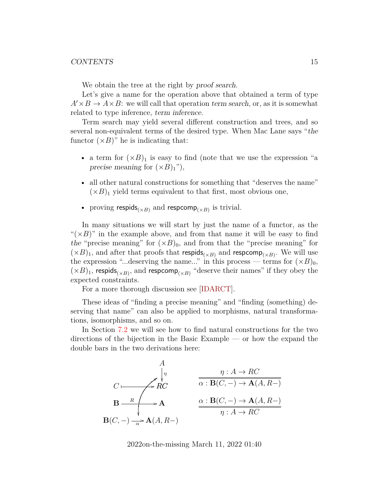We obtain the tree at the right by proof search.

Let's give a name for the operation above that obtained a term of type  $A' \times B \to A \times B$ : we will call that operation term search, or, as it is somewhat related to type inference, term inference.

Term search may yield several different construction and trees, and so several non-equivalent terms of the desired type. When Mac Lane says "the functor  $(\times B)$ " he is indicating that:

- a term for  $(\times B)_1$  is easy to find (note that we use the expression "a precise meaning for  $(\times B)_1$ "),
- all other natural constructions for something that "deserves the name"  $(\times B)_1$  yield terms equivalent to that first, most obvious one,
- proving respids<sub>( $\times B$ )</sub> and respcomp<sub>( $\times B$ )</sub> is trivial.

In many situations we will start by just the name of a functor, as the " $(\times B)$ " in the example above, and from that name it will be easy to find the "precise meaning" for  $(\times B)_0$ , and from that the "precise meaning" for  $(\times B)_1$ , and after that proofs that respids<sub>( $\times B$ )</sub> and respcomp<sub>( $\times B$ )</sub>. We will use the expression "...deserving the name..." in this process — terms for  $(\times B)_0$ ,  $(\times B)_1$ , respids<sub>( $\times B$ )</sub>, and respcomp<sub>( $\times B$ )</sub> "deserve their names" if they obey the expected constraints.

For a more thorough discussion see [\[IDARCT\]](#page-61-1).

These ideas of "finding a precise meaning" and "finding (something) deserving that name" can also be applied to morphisms, natural transformations, isomorphisms, and so on.

In Section [7.2](#page-36-0) we will see how to find natural constructions for the two directions of the bijection in the Basic Example — or how the expand the double bars in the two derivations here:

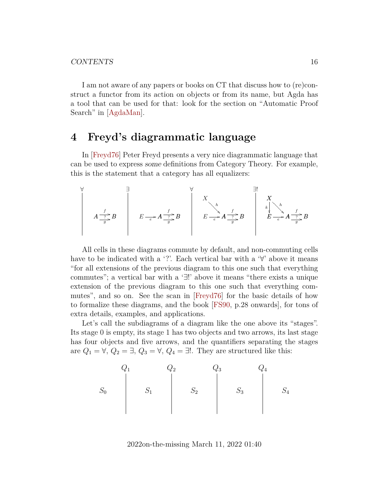I am not aware of any papers or books on CT that discuss how to (re)construct a functor from its action on objects or from its name, but Agda has a tool that can be used for that: look for the section on "Automatic Proof Search" in [\[AgdaMan\]](#page-59-0).

## <span id="page-15-0"></span>**4 Freyd's diagrammatic language**

In [\[Freyd76\]](#page-61-3) Peter Freyd presents a very nice diagrammatic language that can be used to express some definitions from Category Theory. For example, this is the statement that a category has all equalizers:

∀ A B <sup>f</sup> / g ? / ∃ A B <sup>f</sup> / g E A <sup>e</sup> ? / / ∀ A B <sup>f</sup> / g E A <sup>e</sup> ? / / X h ❄ ❄ ❄ ❄ ❄ ❄ ❄ ∃! A B <sup>f</sup> / g E A <sup>e</sup> ? / / X h ❄ ❄ ❄ ❄ ❄ ❄ ❄ E k 

All cells in these diagrams commute by default, and non-commuting cells have to be indicated with a '?'. Each vertical bar with a  $\forall$ ' above it means "for all extensions of the previous diagram to this one such that everything commutes"; a vertical bar with a '∃!' above it means "there exists a unique extension of the previous diagram to this one such that everything commutes", and so on. See the scan in [\[Freyd76\]](#page-61-3) for the basic details of how to formalize these diagrams, and the book [\[FS90,](#page-61-4) p.28 onwards], for tons of extra details, examples, and applications.

Let's call the subdiagrams of a diagram like the one above its "stages". Its stage 0 is empty, its stage 1 has two objects and two arrows, its last stage has four objects and five arrows, and the quantifiers separating the stages are  $Q_1 = \forall, Q_2 = \exists, Q_3 = \forall, Q_4 = \exists!$ . They are structured like this:

$$
S_0 \begin{array}{c} Q_1 & Q_2 & Q_3 & Q_4 \\ & S_1 & S_2 & S_3 & S_4 \end{array}
$$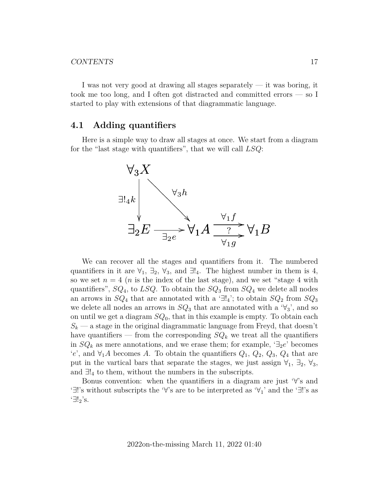#### CONTENTS 17

I was not very good at drawing all stages separately — it was boring, it took me too long, and I often got distracted and committed errors — so I started to play with extensions of that diagrammatic language.

## <span id="page-16-0"></span>**4.1 Adding quantifiers**

Here is a simple way to draw all stages at once. We start from a diagram for the "last stage with quantifiers", that we will call  $LSQ$ :



We can recover all the stages and quantifiers from it. The numbered quantifiers in it are  $\forall_1$ ,  $\exists_2$ ,  $\forall_3$ , and  $\exists!_4$ . The highest number in them is 4, so we set  $n = 4$  (*n* is the index of the last stage), and we set "stage 4 with quantifiers",  $SQ_4$ , to  $LSQ$ . To obtain the  $SQ_3$  from  $SQ_4$  we delete all nodes an arrows in  $SQ_4$  that are annotated with a ' $\exists!_4$ '; to obtain  $SQ_2$  from  $SQ_3$ we delete all nodes an arrows in  $SQ_3$  that are annotated with a ' $\forall$ <sub>3</sub>', and so on until we get a diagram  $SQ_0$ , that in this example is empty. To obtain each  $S_k$  — a stage in the original diagrammatic language from Freyd, that doesn't have quantifiers — from the corresponding  $SQ_k$  we treat all the quantifiers in  $SQ_k$  as mere annotations, and we erase them; for example,  $\exists_2 e$  becomes 'e', and  $\forall_1 A$  becomes A. To obtain the quantifiers  $Q_1, Q_2, Q_3, Q_4$  that are put in the vartical bars that separate the stages, we just assign  $\forall_1$ ,  $\exists_2$ ,  $\forall_3$ , and  $\exists!_4$  to them, without the numbers in the subscripts.

Bonus convention: when the quantifiers in a diagram are just '∀'s and '∃!'s without subscripts the '∀'s are to be interpreted as '∀1' and the '∃!'s as '∃!2's.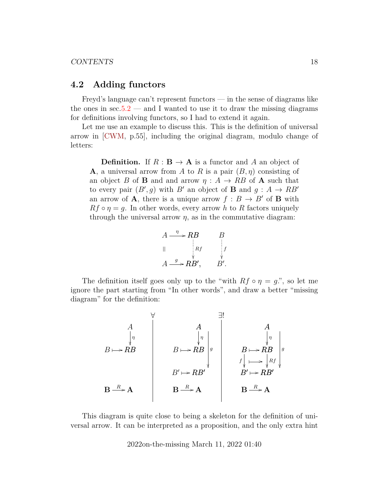#### <span id="page-17-0"></span>**4.2 Adding functors**

Freyd's language can't represent functors — in the sense of diagrams like the ones in  $\sec 5.2$  — and I wanted to use it to draw the missing diagrams for definitions involving functors, so I had to extend it again.

Let me use an example to discuss this. This is the definition of universal arrow in [\[CWM,](#page-60-2) p.55], including the original diagram, modulo change of letters:

**Definition.** If  $R : \mathbf{B} \to \mathbf{A}$  is a functor and A an object of **A**, a universal arrow from A to R is a pair  $(B, \eta)$  consisting of an object B of B and and arrow  $\eta : A \to RB$  of A such that to every pair  $(B', g)$  with B' an object of **B** and  $g : A \rightarrow RB'$ an arrow of **A**, there is a unique arrow  $f : B \to B'$  of **B** with  $Rf \circ \eta = g$ . In other words, every arrow h to R factors uniquely through the universal arrow  $\eta$ , as in the commutative diagram:

$$
A \xrightarrow{\eta} RB \qquad B
$$
  
||  

$$
A \xrightarrow{\eta} RB', \qquad B'
$$
  

$$
A \xrightarrow{g} RB', \qquad B'.
$$

The definition itself goes only up to the "with  $Rf \circ \eta = g$ .", so let me ignore the part starting from "In other words", and draw a better "missing diagram" for the definition:

$$
\begin{array}{c}\n \begin{array}{c}\n \stackrel{\text{def}}{\\ \hline\n \end{array}\n \end{array}\n \begin{array}{c}\n \stackrel{\text{def}}{\\ \hline\n \end{array}\n \end{array}\n \begin{array}{c}\n \stackrel{\text{def}}{\\ \hline\n \end{array}\n \begin{array}{c}\n \stackrel{\text{def}}{\\ \hline\n \end{array}\n \end{array}\n \begin{array}{c}\n \stackrel{\text{def}}{\\ \hline\n \end{array}\n \begin{array}{c}\n \stackrel{\text{def}}{\\ \hline\n \end{array}\n \begin{array}{c}\n \stackrel{\text{def}}{\\ \hline\n \end{array}\n \end{array}\n \begin{array}{c}\n \stackrel{\text{def}}{\\ \hline\n \end{array}\n \begin{array}{c}\n \stackrel{\text{def}}{\\ \hline\n \end{array}\n \begin{array}{c}\n \stackrel{\text{def}}{\\ \hline\n \end{array}\n \end{array}\n \begin{array}{c}\n \stackrel{\text{def}}{\\ \hline\n \end{array}\n \begin{array}{c}\n \stackrel{\text{def}}{\\ \hline\n \end{array}\n \begin{array}{c}\n \stackrel{\text{def}}{\\ \hline\n \end{array}\n \begin{array}{c}\n \stackrel{\text{def}}{\\ \hline\n \end{array}\n \begin{array}{c}\n \stackrel{\text{def}}{\\ \hline\n \end{array}\n \begin{array}{c}\n \stackrel{\text{def}}{\\ \hline\n \end{array}\n \begin{array}{c}\n \stackrel{\text{def}}{\\ \hline\n \end{array}\n \begin{array}{c}\n \stackrel{\text{def}}{\\ \hline\n \end{array}\n \begin{array}{c}\n \stackrel{\text{def}}{\\ \hline\n \end{array}\n \begin{array}{c}\n \stackrel{\text{def}}{\\ \hline\n \end{array}\n \begin{array}{c}\n \stackrel{\text{def}}{\\ \hline\n \end{array}\n \begin{array}{c}\n \stackrel{\text{def}}{\\ \hline\n \end{array}\n \begin{array}{c}\n \stackrel{\text{def}}{\\ \hline\n \end{array}\n \begin{array}{c}\n \stackrel{\text{def}}{\\ \hline\n \end{array}\n \begin{array}{c}\n \stackrel{\text{def}}{\\ \hline\n \end{array}\n \begin{array}{c}\n \stackrel{\text{def}}{\\ \hline
$$

This diagram is quite close to being a skeleton for the definition of universal arrow. It can be interpreted as a proposition, and the only extra hint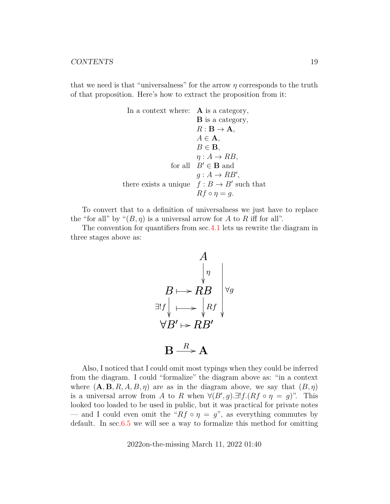that we need is that "universalness" for the arrow  $\eta$  corresponds to the truth of that proposition. Here's how to extract the proposition from it:

In a context where: **A** is a category,  
\n**B** is a category,  
\n
$$
R : \mathbf{B} \to \mathbf{A}
$$
,  
\n $A \in \mathbf{A}$ ,  
\n $B \in \mathbf{B}$ ,  
\n $\eta : A \to RB$ ,  
\nfor all  $B' \in \mathbf{B}$  and  
\n $g : A \to RB'$ ,  
\nthere exists a unique  $f : B \to B'$  such that  
\n $Rf \circ \eta = g$ .

To convert that to a definition of universalness we just have to replace the "for all" by " $(B, \eta)$  is a universal arrow for A to R iff for all".

The convention for quantifiers from sec[.4.1](#page-16-0) lets us rewrite the diagram in three stages above as:

$$
A
$$
\n
$$
B \mapsto R B
$$
\n
$$
\exists f \downarrow \longrightarrow R
$$
\n
$$
\forall B' \mapsto R B'
$$
\n
$$
B \xrightarrow{R} A
$$

Also, I noticed that I could omit most typings when they could be inferred from the diagram. I could "formalize" the diagram above as: "in a context where  $(A, B, R, A, B, \eta)$  are as in the diagram above, we say that  $(B, \eta)$ is a universal arrow from A to R when  $\forall (B', g) \exists! f.(Rf \circ \eta = g)$ ". This looked too loaded to be used in public, but it was practical for private notes — and I could even omit the " $Rf \circ \eta = g$ ", as everything commutes by default. In sec[.6.5](#page-32-0) we will see a way to formalize this method for omitting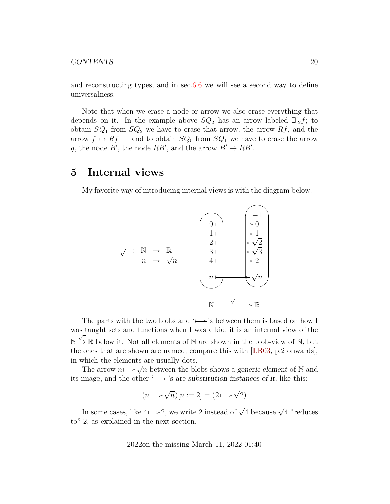#### CONTENTS 20

and reconstructing types, and in sec[.6.6](#page-32-1) we will see a second way to define universalness.

Note that when we erase a node or arrow we also erase everything that depends on it. In the example above  $SQ_2$  has an arrow labeled  $\exists!_2 f$ ; to obtain  $SQ_1$  from  $SQ_2$  we have to erase that arrow, the arrow  $Rf$ , and the arrow  $f \mapsto Rf$  — and to obtain  $SQ_0$  from  $SQ_1$  we have to erase the arrow g, the node B', the node  $RB'$ , and the arrow  $B' \mapsto RB'$ .

## <span id="page-19-0"></span>**5 Internal views**

My favorite way of introducing internal views is with the diagram below:



The parts with the two blobs and ' $\mapsto$ 's between them is based on how I was taught sets and functions when I was a kid; it is an internal view of the  $\mathbb{N} \xrightarrow{\vee} \mathbb{R}$  below it. Not all elements of  $\mathbb{N}$  are shown in the blob-view of  $\mathbb{N}$ , but the ones that are shown are named; compare this with [\[LR03,](#page-62-5) p.2 onwards], in which the elements are usually dots.

The arrow  $n \mapsto \sqrt{n}$  between the blobs shows a generic element of N and its image, and the other ' $\mapsto$ 's are substitution instances of it, like this:

$$
(n \longmapsto \sqrt{n})[n := 2] = (2 \longmapsto \sqrt{2})
$$

In some cases, like  $4 \mapsto 2$ , we write 2 instead of  $\sqrt{4}$  because  $\sqrt{4}$  "reduces to" 2, as explained in the next section.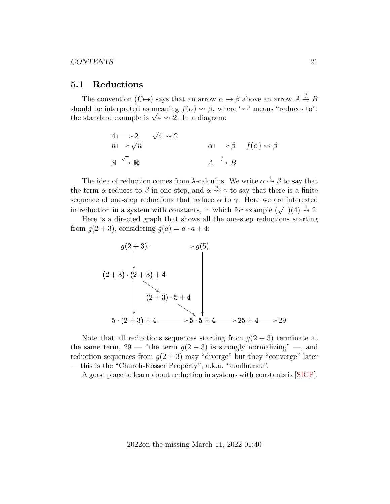#### <span id="page-20-0"></span>**5.1 Reductions**

The convention  $(C \rightarrow)$  says that an arrow  $\alpha \mapsto \beta$  above an arrow  $A \stackrel{f}{\rightarrow} B$ should be interpreted as meaning  $f(\alpha) \rightsquigarrow \beta$ , where ' $\rightsquigarrow$ ' means "reduces to"; snouta be interpreted as meaning  $f(\alpha) \leadsto \beta$ , which standard example is  $\sqrt{4} \leadsto 2$ . In a diagram:

$$
4 \mapsto 2 \quad \sqrt{4} \rightsquigarrow 2
$$
\n
$$
n \mapsto \sqrt{n} \qquad \alpha \mapsto \beta \quad f(\alpha) \rightsquigarrow \beta
$$
\n
$$
N \stackrel{\sqrt{\phantom{0}}}{\longrightarrow} \mathbb{R} \qquad A \stackrel{f}{\longrightarrow} B
$$

The idea of reduction comes from  $\lambda$ -calculus. We write  $\alpha \stackrel{1}{\rightsquigarrow} \beta$  to say that the term  $\alpha$  reduces to  $\beta$  in one step, and  $\alpha \stackrel{*}{\leadsto} \gamma$  to say that there is a finite sequence of one-step reductions that reduce  $\alpha$  to  $\gamma$ . Here we are interested in reduction in a system with constants, in which for example (  $\sqrt{(4)} \overset{1}{\rightsquigarrow} 2.$ 

Here is a directed graph that shows all the one-step reductions starting from  $g(2+3)$ , considering  $g(a) = a \cdot a + 4$ :



Note that all reductions sequences starting from  $q(2+3)$  terminate at the same term,  $29$  — "the term  $g(2+3)$  is strongly normalizing" —, and reduction sequences from  $g(2+3)$  may "diverge" but they "converge" later — this is the "Church-Rosser Property", a.k.a. "confluence".

A good place to learn about reduction in systems with constants is [\[SICP\]](#page-64-1).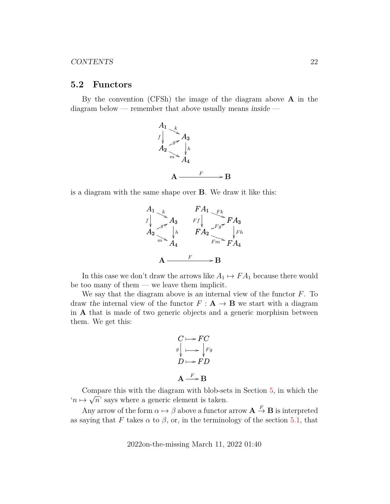#### <span id="page-21-0"></span>**5.2 Functors**

By the convention (CFSh) the image of the diagram above  $\bf{A}$  in the diagram below — remember that above usually means inside —



is a diagram with the same shape over B. We draw it like this:



In this case we don't draw the arrows like  $A_1 \mapsto FA_1$  because there would be too many of them — we leave them implicit.

We say that the diagram above is an internal view of the functor  $F$ . To draw the internal view of the functor  $F: \mathbf{A} \to \mathbf{B}$  we start with a diagram in A that is made of two generic objects and a generic morphism between them. We get this:

$$
C \longmapsto FC
$$
  
\n
$$
g \downarrow \longrightarrow \downarrow Fg
$$
  
\n
$$
D \longmapsto FD
$$
  
\n
$$
A \xrightarrow{F} B
$$

Compare this with the diagram with blob-sets in Section  $\overline{5}$ , in which the  $n \mapsto \sqrt{n}$  says where a generic element is taken.

Any arrow of the form  $\alpha \mapsto \beta$  above a functor arrow  $\mathbf{A} \stackrel{F}{\to} \mathbf{B}$  is interpreted as saying that F takes  $\alpha$  to  $\beta$ , or, in the terminology of the section [5.1,](#page-20-0) that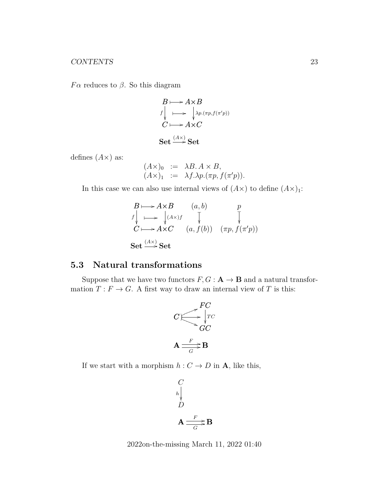Fα reduces to  $β$ . So this diagram

$$
B \longmapsto A \times B
$$
  
\n
$$
f \downarrow \longrightarrow \downarrow \lambda_{P} \cdot (\pi_{P}, f(\pi'_{P}))
$$
  
\n
$$
C \longmapsto A \times C
$$
  
\nSet  $\xrightarrow{(A \times )} \text{Set}$ 

defines  $(A \times)$  as:

$$
(A\times)0 := \lambda B. A \times B,(A\times)1 := \lambda f.\lambda p.(\pi p, f(\pi' p)).
$$

In this case we can also use internal views of  $(A \times)$  to define  $(A \times)$ <sub>1</sub>:

$$
B \mapsto A \times B \qquad (a, b) \qquad p
$$
  
\n
$$
f \downarrow \longrightarrow \downarrow (A \times) f \qquad \downarrow \qquad \downarrow
$$
  
\n
$$
C \longmapsto A \times C \qquad (a, f(b)) \qquad (\pi p, f(\pi' p))
$$
  
\nSet  $\xrightarrow{(A \times)} \text{Set}$ 

## <span id="page-22-0"></span>**5.3 Natural transformations**

Suppose that we have two functors  $F, G : A \rightarrow B$  and a natural transformation  $T : F \to G$ . A first way to draw an internal view of T is this:



If we start with a morphism  $h: C \to D$  in **A**, like this,

$$
\begin{array}{c}\nC \\
h\n\end{array}
$$
\n
$$
\mathbf{A} \frac{F}{\overline{G}} \mathbf{B}
$$

2022on-the-missing March 11, 2022 01:40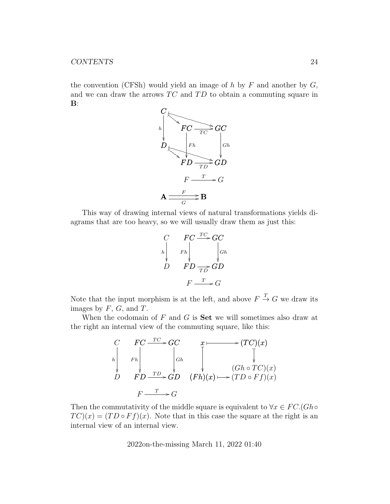the convention (CFSh) would yield an image of h by  $F$  and another by  $G$ , and we can draw the arrows  $TC$  and  $TD$  to obtain a commuting square in  $\mathbf{B}$ :



This way of drawing internal views of natural transformations yields diagrams that are too heavy, so we will usually draw them as just this:

$$
\begin{array}{ccc}\nC & FC \xrightarrow{TC} GC \\
h & Fh & \downarrow \\
D & FD & \downarrow \\
F & \uparrow D & \downarrow \\
F & \downarrow & \downarrow \\
F & \downarrow & \downarrow \\
F & \downarrow & \downarrow \\
F & \downarrow & \downarrow \\
F & \downarrow & \downarrow \\
F & \downarrow & \downarrow \\
F & \downarrow & \downarrow \\
F & \downarrow & \downarrow \\
F & \downarrow & \downarrow \\
F & \downarrow & \downarrow \\
F & \downarrow & \downarrow \\
F & \downarrow & \downarrow \\
F & \downarrow & \downarrow \\
F & \downarrow & \downarrow \\
F & \downarrow & \downarrow \\
F & \downarrow & \downarrow \\
F & \downarrow & \downarrow \\
F & \downarrow & \downarrow \\
F & \downarrow & \downarrow \\
F & \downarrow & \downarrow \\
F & \downarrow & \downarrow \\
F & \downarrow & \downarrow \\
F & \downarrow & \downarrow \\
F & \downarrow & \downarrow \\
F & \downarrow & \downarrow \\
F & \downarrow & \downarrow \\
F & \downarrow & \downarrow \\
F & \downarrow & \downarrow \\
F & \downarrow & \downarrow \\
F & \downarrow & \downarrow \\
F & \downarrow & \downarrow \\
F & \downarrow & \downarrow \\
F & \downarrow & \downarrow \\
F & \downarrow & \downarrow \\
F & \downarrow & \downarrow \\
F & \downarrow & \downarrow \\
F & \downarrow & \downarrow \\
F & \downarrow & \downarrow \\
F & \downarrow & \downarrow \\
F & \downarrow & \downarrow \\
F & \downarrow & \downarrow \\
F & \downarrow & \downarrow \\
F & \downarrow & \downarrow \\
F & \downarrow & \downarrow \\
F & \downarrow & \downarrow \\
F & \downarrow & \downarrow \\
F & \downarrow & \downarrow \\
F & \downarrow & \downarrow \\
F & \downarrow & \downarrow \\
F & \downarrow & \downarrow \\
F & \downarrow & \downarrow \\
F & \downarrow & \downarrow \\
F & \downarrow & \downarrow \\
F & \downarrow & \downarrow \\
F & \downarrow & \downarrow \\
F & \downarrow & \downarrow \\
F & \downarrow & \downarrow \\
F & \downarrow & \downarrow \\
F & \downarrow & \downarrow \\
F & \downarrow & \downarrow \\
F & \downarrow & \downarrow \\
F & \downarrow & \downarrow \\
F & \downarrow & \downarrow \\
F & \downarrow & \downarrow \\
F & \downarrow & \downarrow \\
F & \downarrow & \downarrow \\
F & \downarrow & \downarrow \\
F & \downarrow & \downarrow \\
F & \downarrow & \downarrow \\
F & \downarrow & \downarrow \\
F & \downarrow & \downarrow \\
F & \
$$

Note that the input morphism is at the left, and above  $F \stackrel{T}{\rightarrow} G$  we draw its images by  $F, G$ , and  $T$ .

When the codomain of  $F$  and  $G$  is **Set** we will sometimes also draw at the right an internal view of the commuting square, like this:

$$
\begin{array}{ccc}\nC & FC \xrightarrow{TC} & GC & x \longmapsto (TC)(x) \\
\downarrow & \downarrow & \downarrow & \downarrow \\
D & FD \xrightarrow{TD} & GD & (Fh)(x) \longmapsto (TD \circ Ff)(x) \\
E & \xrightarrow{T} & G\n\end{array}
$$

Then the commutativity of the middle square is equivalent to  $\forall x \in FC.(Gh \circ$  $TC(x) = (TD \circ Ff)(x)$ . Note that in this case the square at the right is an internal view of an internal view.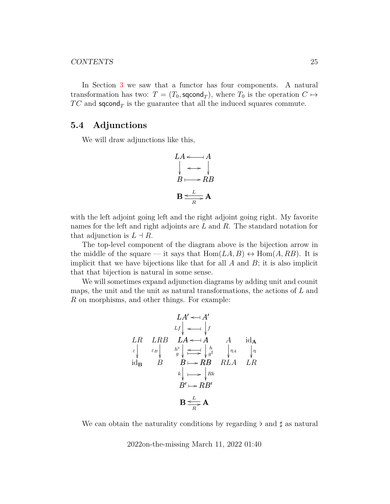#### CONTENTS 25

In Section [3](#page-12-0) we saw that a functor has four components. A natural transformation has two:  $T = (T_0, \text{second}_T)$ , where  $T_0$  is the operation  $C \mapsto$  $TC$  and sqcond<sub>T</sub> is the guarantee that all the induced squares commute.

### <span id="page-24-0"></span>**5.4 Adjunctions**

We will draw adjunctions like this,

$$
LA \leftarrow A
$$
\n
$$
B \leftarrow B
$$
\n
$$
B \leftarrow L
$$
\n
$$
B
$$
\n
$$
B \leftarrow L
$$

with the left adjoint going left and the right adjoint going right. My favorite names for the left and right adjoints are L and R. The standard notation for that adjunction is  $L \dashv R$ .

The top-level component of the diagram above is the bijection arrow in the middle of the square — it says that  $Hom(LA, B) \leftrightarrow Hom(A, RB)$ . It is implicit that we have bijections like that for all  $A$  and  $B$ ; it is also implicit that that bijection is natural in some sense.

We will sometimes expand adjunction diagrams by adding unit and counit maps, the unit and the unit as natural transformations, the actions of  $L$  and R on morphisms, and other things. For example:

$$
LA' \leftarrow A'
$$
\n
$$
Lf \leftarrow A'
$$
\n
$$
LR \quad LRB \quad LA \leftarrow A \quad A \quad id_{A}
$$
\n
$$
\varepsilon \leftarrow \varepsilon_B \leftarrow \varepsilon_B \leftarrow \varepsilon_B \leftarrow \varepsilon_B \leftarrow \varepsilon_B B \quad RLA \quad LR
$$
\n
$$
R \leftarrow \varepsilon_B \leftarrow RBA \quad RLA \quad LR
$$
\n
$$
B' \leftarrow RBA'
$$
\n
$$
B' \leftarrow RBA'
$$
\n
$$
B \leftarrow \varepsilon_B
$$
\n
$$
B' \leftarrow R
$$

We can obtain the naturality conditions by regarding  $\flat$  and  $\sharp$  as natural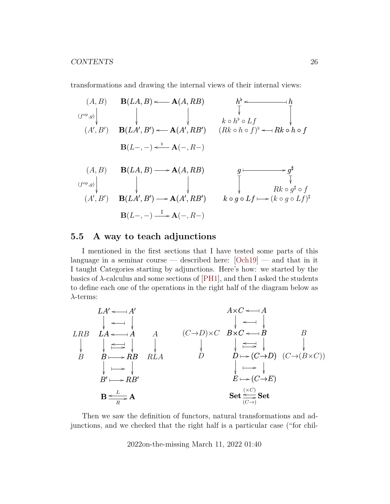transformations and drawing the internal views of their internal views:

(A, B) (A<sup>0</sup> , B<sup>0</sup> ) (f op,g) B(LA, B) A(A, RB) o B(LA<sup>0</sup> , B<sup>0</sup> ) A(A<sup>0</sup> , RB<sup>0</sup> ) o B(L−, −) A(−, R−) o [ h [ o h ✤ k ◦ h [ ◦ Lf ❴ Rk ◦ h ◦ f ❴ (Rk ◦ h ◦ f) [ o ✤ (A, B) (A<sup>0</sup> , B<sup>0</sup> ) (f op,g) B(LA, B) A(A, RB) / B(LA<sup>0</sup> , B<sup>0</sup> ) A(A<sup>0</sup> , RB<sup>0</sup> ) / B(L−, −) A(−, R−) ] / g g ✤ / ] Rk ◦ g ] ◦ f ❴ g k ◦ g ◦ Lf ❴ (k ◦ g ◦ Lf) ✤ / ]

## <span id="page-25-0"></span>**5.5 A way to teach adjunctions**

I mentioned in the first sections that I have tested some parts of this language in a seminar course — described here:  $[Och19]$  — and that in it I taught Categories starting by adjunctions. Here's how: we started by the basics of  $\lambda$ -calculus and some sections of [\[PH1\]](#page-63-0), and then I asked the students to define each one of the operations in the right half of the diagram below as  $\lambda$ -terms:

$$
LAB \begin{array}{c}\nLA' \leftarrow A' \\
\downarrow \leftarrow \downarrow \\
LRB \begin{array}{c}\nLRA \leftarrow \downarrow \\
\downarrow \leftarrow \downarrow \\
B \end{array}\n\end{array}\n\right)\n\begin{array}{c}\nA \times C \leftarrow A \\
\downarrow \leftarrow \downarrow \\
\downarrow \leftarrow \downarrow \\
B \end{array}\n\right)\n\begin{array}{c}\nAC \leftarrow B \\
\downarrow \leftarrow \downarrow \\
\downarrow \leftarrow \downarrow \\
\downarrow \leftarrow \downarrow \\
D \end{array}\n\right)\n\begin{array}{c}\nB \times C \leftarrow B \\
\downarrow \leftarrow \downarrow \\
\downarrow \leftarrow \downarrow \\
\downarrow \leftarrow \downarrow \\
D \leftarrow (C \rightarrow D) \ (C \rightarrow (B \times C)) \\
\downarrow \leftarrow \downarrow \\
E \rightarrow (C \rightarrow E)\n\end{array}\n\right)\n\end{array}
$$
\n
$$
B \xrightarrow{\text{L}} AB'
$$
\n
$$
B \xrightarrow{\text{L}} AB'
$$
\n
$$
B \xrightarrow{\text{L}} A
$$
\n
$$
B \xrightarrow{\text{L}} A
$$
\n
$$
B \xrightarrow{\text{L}} A
$$

Then we saw the definition of functors, natural transformations and adjunctions, and we checked that the right half is a particular case ("for chil-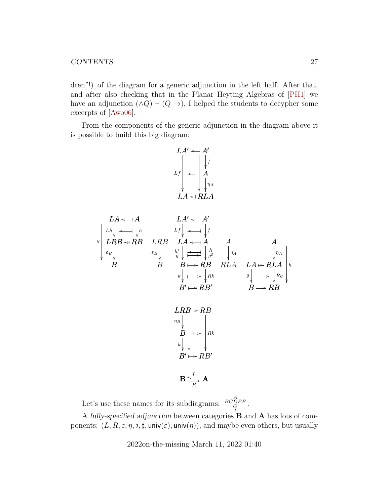dren"!) of the diagram for a generic adjunction in the left half. After that, and after also checking that in the Planar Heyting Algebras of [\[PH1\]](#page-63-0) we have an adjunction  $(\land Q) \dashv (Q \rightarrow)$ , I helped the students to decypher some excerpts of [\[Awo06\]](#page-60-3).

From the components of the generic adjunction in the diagram above it is possible to build this big diagram:

$$
LA' \leftarrow A'
$$
  
\n
$$
Lf \downarrow f
$$
  
\n
$$
Lf \downarrow f
$$
  
\n
$$
LA \leftarrow RLA
$$

$$
LA \leftarrow A
$$
\n
$$
L A'
$$
\n
$$
L A'
$$
\n
$$
L A'
$$
\n
$$
L A'
$$
\n
$$
L A'
$$
\n
$$
L A'
$$
\n
$$
L A'
$$
\n
$$
L A'
$$
\n
$$
L A'
$$
\n
$$
A
$$
\n
$$
L A
$$
\n
$$
A
$$
\n
$$
L A
$$
\n
$$
A
$$
\n
$$
L B'
$$
\n
$$
L B'
$$
\n
$$
L B'
$$
\n
$$
L A'
$$
\n
$$
L A'
$$
\n
$$
L A'
$$
\n
$$
L A'
$$
\n
$$
L A'
$$
\n
$$
L A \leftarrow R L A
$$
\n
$$
L A \leftarrow R L A
$$
\n
$$
L A \leftarrow R L A
$$
\n
$$
L A \leftarrow R L A
$$
\n
$$
L A \leftarrow R L A
$$
\n
$$
L A \leftarrow R L A
$$
\n
$$
L A \leftarrow R L A
$$
\n
$$
L A \leftarrow R L A
$$
\n
$$
L A \leftarrow R L A
$$
\n
$$
L A \leftarrow R L A
$$
\n
$$
L A \leftarrow R L A
$$
\n
$$
L A \leftarrow R L A
$$
\n
$$
L A \leftarrow R L A
$$
\n
$$
L A \leftarrow R L A
$$
\n
$$
L A \leftarrow R L A
$$
\n
$$
L A \leftarrow R L A
$$
\n
$$
L A \leftarrow R L A
$$
\n
$$
L A \leftarrow R L A
$$
\n
$$
L A \leftarrow R L A
$$
\n
$$
L A \leftarrow R L A
$$
\n
$$
L A \leftarrow R L A
$$
\n
$$
L A \leftarrow R L A
$$
\n
$$
L A \leftarrow R L A
$$
\n
$$
L A \leftarrow R L A
$$
\n
$$
L A \leftarrow R L A
$$
\n
$$
L A \leftarrow R L A
$$
\n
$$
L A \leftarrow R L A
$$
\n $$ 



$$
\mathbf{B} \leq \frac{L}{R} \mathbf{A}
$$

Let's use these names for its subdiagrams:  $\frac{BCDEF}{G}$ .

A fully-specified adjunction between categories B and A has lots of components:  $(L, R, \varepsilon, \eta, \mathfrak{b}, \sharp, \text{univ}(\varepsilon), \text{univ}(\eta))$ , and maybe even others, but usually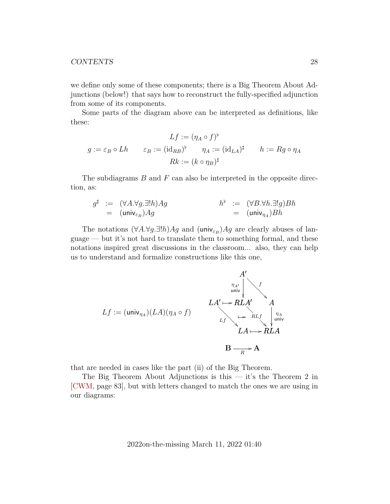we define only some of these components; there is a Big Theorem About Adjunctions (below!) that says how to reconstruct the fully-specified adjunction from some of its components.

Some parts of the diagram above can be interpreted as definitions, like these:

$$
Lf := (\eta_A \circ f)^{\flat}
$$
  

$$
g := \varepsilon_B \circ Lh \qquad \varepsilon_B := (\mathrm{id}_{RB})^{\flat} \qquad \eta_A := (\mathrm{id}_{LA})^{\sharp} \qquad h := Rg \circ \eta_A
$$
  

$$
Rk := (k \circ \eta_B)^{\sharp}
$$

The subdiagrams  $B$  and  $F$  can also be interpreted in the opposite direction, as:

$$
g^{\sharp} := (\forall A. \forall g. \exists! h) Ag
$$
  
= (univ<sub>ε\_B</sub>)Ag  
= (univ<sub>n\_A</sub>) Bh  
= (univ<sub>n\_A</sub>)Bh

The notations  $(\forall A.\forall g.\exists!h)Ag$  and  $(\text{univ}_{\varepsilon_B})Ag$  are clearly abuses of language — but it's not hard to translate them to something formal, and these notations inspired great discussions in the classroom... also, they can help us to understand and formalize constructions like this one,

$$
Lf := (\text{univ}_{\eta_A})(LA)(\eta_A \circ f)
$$
\n
$$
LA' \mapsto RLA'
$$
\n
$$
LA \mapsto RLA'
$$
\n
$$
LA \mapsto RLA
$$
\n
$$
B \xrightarrow{\eta_{A'}} A
$$
\n
$$
A \mapsto RLA
$$

that are needed in cases like the part (ii) of the Big Theorem.

The Big Theorem About Adjunctions is this  $-$  it's the Theorem 2 in [\[CWM,](#page-60-2) page 83], but with letters changed to match the ones we are using in our diagrams: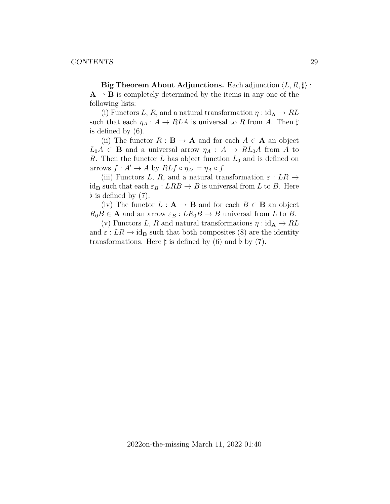**Big Theorem About Adjunctions.** Each adjunction  $\langle L, R, \sharp \rangle$ :  $A \rightarrow B$  is completely determined by the items in any one of the following lists:

(i) Functors L, R, and a natural transformation  $\eta : id_A \to RL$ such that each  $\eta_A : A \to RLA$  is universal to R from A. Then  $\sharp$ is defined by (6).

(ii) The functor  $R : \mathbf{B} \to \mathbf{A}$  and for each  $A \in \mathbf{A}$  an object  $L_0A \in \mathbf{B}$  and a universal arrow  $\eta_A : A \to RL_0A$  from A to R. Then the functor L has object function  $L_0$  and is defined on arrows  $f: A' \to A$  by  $RLf \circ \eta_{A'} = \eta_A \circ f$ .

(iii) Functors L, R, and a natural transformation  $\varepsilon : LR \rightarrow$ id<sub>B</sub> such that each  $\varepsilon_B : LRB \to B$  is universal from L to B. Here  $\flat$  is defined by  $(7)$ .

(iv) The functor  $L : A \rightarrow B$  and for each  $B \in B$  an object  $R_0B \in \mathbf{A}$  and an arrow  $\varepsilon_B: LR_0B \to B$  universal from L to B.

(v) Functors L, R and natural transformations  $\eta$ : id $_A \rightarrow RL$ and  $\varepsilon : LR \to id_{\mathbf{B}}$  such that both composites (8) are the identity transformations. Here  $\sharp$  is defined by (6) and  $\flat$  by (7).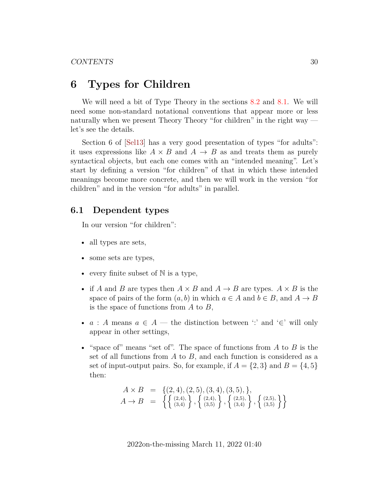## <span id="page-29-0"></span>**6 Types for Children**

We will need a bit of Type Theory in the sections [8.2](#page-42-0) and [8.1.](#page-41-1) We will need some non-standard notational conventions that appear more or less naturally when we present Theory Theory "for children" in the right way let's see the details.

Section 6 of [\[Sel13\]](#page-64-2) has a very good presentation of types "for adults": it uses expressions like  $A \times B$  and  $A \rightarrow B$  as and treats them as purely syntactical objects, but each one comes with an "intended meaning". Let's start by defining a version "for children" of that in which these intended meanings become more concrete, and then we will work in the version "for children" and in the version "for adults" in parallel.

### <span id="page-29-1"></span>**6.1 Dependent types**

In our version "for children":

- all types are sets,
- some sets are types,
- every finite subset of  $\mathbb N$  is a type,
- if A and B are types then  $A \times B$  and  $A \rightarrow B$  are types.  $A \times B$  is the space of pairs of the form  $(a, b)$  in which  $a \in A$  and  $b \in B$ , and  $A \to B$ is the space of functions from  $A$  to  $B$ ,
- $a : A$  means  $a \in A$  the distinction between ':' and '∈' will only appear in other settings,
- "space of" means "set of". The space of functions from  $A$  to  $B$  is the set of all functions from  $A$  to  $B$ , and each function is considered as a set of input-output pairs. So, for example, if  $A = \{2, 3\}$  and  $B = \{4, 5\}$ then:

$$
A \times B = \{ (2, 4), (2, 5), (3, 4), (3, 5), \},
$$
  
\n
$$
A \rightarrow B = \left\{ \left\{ \begin{array}{l} (2, 4), \\ (3, 4) \end{array} \right\}, \left\{ \begin{array}{l} (2, 4), \\ (3, 5) \end{array} \right\}, \left\{ \begin{array}{l} (2, 5), \\ (3, 4) \end{array} \right\}, \left\{ \begin{array}{l} (2, 5), \\ (3, 5) \end{array} \right\} \right\}
$$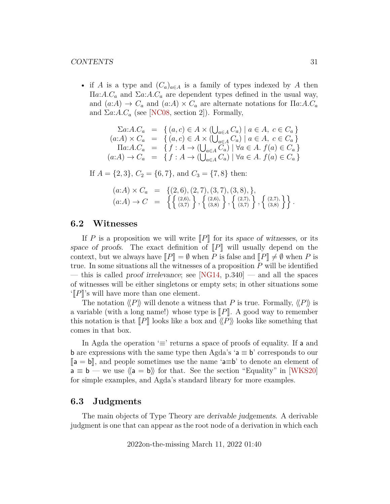• if A is a type and  $(C_a)_{a \in A}$  is a family of types indexed by A then  $\Pi a: A.C<sub>a</sub>$  and  $\Sigma a: A.C<sub>a</sub>$  are dependent types defined in the usual way, and  $(a:A) \rightarrow C_a$  and  $(a:A) \times C_a$  are alternate notations for  $\Pi a:A.C_a$ and  $\Sigma a:A.C_a$  (see [\[NC08,](#page-62-6) section 2]). Formally,

$$
\begin{array}{rcl}\n\sum a:A.C_a & = & \{ (a,c) \in A \times (\bigcup_{a \in A} C_a) \mid a \in A, \ c \in C_a \} \\
(a:A) \times C_a & = & \{ (a,c) \in A \times (\bigcup_{a \in A} C_a) \mid a \in A, \ c \in C_a \} \\
\prod a:A.C_a & = & \{ f : A \to (\bigcup_{a \in A} C_a) \mid \forall a \in A. \ f(a) \in C_a \} \\
(a:A) \to C_a & = & \{ f : A \to (\bigcup_{a \in A} C_a) \mid \forall a \in A. \ f(a) \in C_a \}\n\end{array}
$$

If  $A = \{2, 3\}, C_2 = \{6, 7\}, \text{ and } C_3 = \{7, 8\} \text{ then:}$ 

$$
(a:A) \times C_a = \{ (2,6), (2,7), (3,7), (3,8), \}, (a:A) \rightarrow C = \{ \{ (2,6), \}, \{ (2,6), \}, \{ (2,6), \}, \{ (2,7), \}, \{ (2,7), \}, \{ (3,8) \} \}.
$$

### <span id="page-30-0"></span>**6.2 Witnesses**

If P is a proposition we will write  $\llbracket P \rrbracket$  for its space of witnesses, or its space of proofs. The exact definition of  $\|P\|$  will usually depend on the context, but we always have  $\llbracket P \rrbracket = \emptyset$  when P is false and  $\llbracket P \rrbracket \neq \emptyset$  when P is true. In some situations all the witnesses of a proposition  $P$  will be identified — this is called proof irrelevance; see [\[NG14,](#page-62-4) p.340] — and all the spaces of witnesses will be either singletons or empty sets; in other situations some  $\left\langle \left\Vert P\right\Vert \right\rangle$ 's will have more than one element.

The notation  $\langle P \rangle$  will denote a witness that P is true. Formally,  $\langle P \rangle$  is a variable (with a long name!) whose type is  $\llbracket P \rrbracket$ . A good way to remember this notation is that  $\llbracket P \rrbracket$  looks like a box and  $\langle P \rangle$  looks like something that comes in that box.

In Agda the operation ' $\equiv$ ' returns a space of proofs of equality. If a and **b** are expressions with the same type then Agda's  $a \equiv b$ ' corresponds to our  $[a = b]$ , and people sometimes use the name 'a≡b' to denote an element of  $a \equiv b$  — we use  $\langle a = b \rangle$  for that. See the section "Equality" in [\[WKS20\]](#page-64-3) for simple examples, and Agda's standard library for more examples.

#### <span id="page-30-1"></span>**6.3 Judgments**

The main objects of Type Theory are derivable judgements. A derivable judgment is one that can appear as the root node of a derivation in which each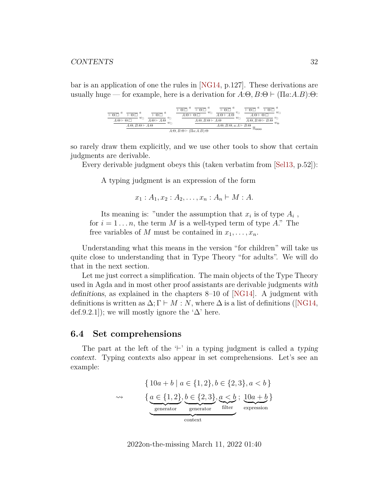bar is an application of one the rules in [\[NG14,](#page-62-4) p.127]. These derivations are usually huge — for example, here is a derivation for  $A:\Theta, B:\Theta \vdash (\Pi a:A.B):\Theta:$ 

| $\overline{\Theta}:\overline{\Theta}$<br>$\Theta: \Box$<br>$w_{\Box}$<br>$v_{\Box}$<br>$A:\Theta\vdash\Theta:\Box$<br>$A:\Theta \vdash A:\Theta$<br>$w_{\Box}$ | $-\Theta$ :<br>$\Theta$<br>$w_{\Box}$<br>$v_{\Box}$<br>$A \cdot \Theta \vdash \Theta \cdot \Box$<br>$A:\Theta \vdash A:\Theta$<br>$w_{\Box}$<br>$A:\Theta$ , $B:\Theta \vdash A:\Theta$ | $\Theta$<br>$w_{\Box}$<br>$A \cdot \Theta \vdash \Theta \cdot \Box$<br>$v_{\Box}$<br>$A:\Theta$ , $B:\Theta \vdash B:\Theta$<br>$w_{\Theta}$ |
|----------------------------------------------------------------------------------------------------------------------------------------------------------------|-----------------------------------------------------------------------------------------------------------------------------------------------------------------------------------------|----------------------------------------------------------------------------------------------------------------------------------------------|
| $A:\Theta$ , $B:\Theta \vdash A:\Theta$                                                                                                                        | $A:\Theta, B:\Theta, a:A \vdash B:\Theta$                                                                                                                                               |                                                                                                                                              |
| 11⊖⊖⊖<br>$A:\Theta, B:\Theta \vdash (\Pi a:A.B):\Theta$                                                                                                        |                                                                                                                                                                                         |                                                                                                                                              |

so rarely draw them explicitly, and we use other tools to show that certain judgments are derivable.

Every derivable judgment obeys this (taken verbatim from [\[Sel13,](#page-64-2) p.52]):

A typing judgment is an expression of the form

$$
x_1 : A_1, x_2 : A_2, \ldots, x_n : A_n \vdash M : A.
$$

Its meaning is: "under the assumption that  $x_i$  is of type  $A_i$ , for  $i = 1 \ldots n$ , the term M is a well-typed term of type A." The free variables of M must be contained in  $x_1, \ldots, x_n$ .

Understanding what this means in the version "for children" will take us quite close to understanding that in Type Theory "for adults". We will do that in the next section.

Let me just correct a simplification. The main objects of the Type Theory used in Agda and in most other proof assistants are derivable judgments with definitions, as explained in the chapters 8–10 of [\[NG14\]](#page-62-4). A judgment with definitionsis written as  $\Delta; \Gamma \vdash M : N$ , where  $\Delta$  is a list of definitions ([\[NG14,](#page-62-4) def.9.2.1]); we will mostly ignore the ' $\Delta$ ' here.

#### <span id="page-31-0"></span>**6.4 Set comprehensions**

The part at the left of the  $\vdash'$  in a typing judgment is called a typing context. Typing contexts also appear in set comprehensions. Let's see an example:

$$
\begin{aligned}\n\{10a + b \mid a \in \{1, 2\}, b \in \{2, 3\}, a < b\} \\
\rightsquigarrow \qquad \{ \underbrace{a \in \{1, 2\}}_{\text{generator}}, \underbrace{b \in \{2, 3\}}_{\text{filler}}, \underbrace{a < b}_{\text{filler}}; \underbrace{10a + b}_{\text{expression}} \} \\
\end{aligned}
$$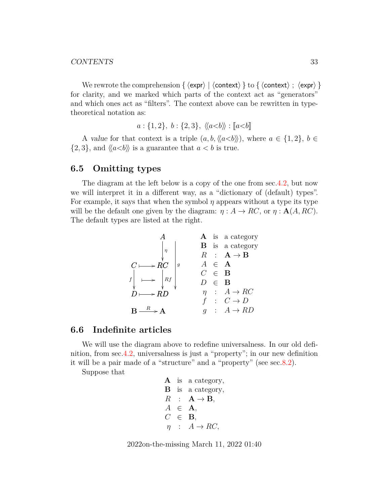#### CONTENTS 33

We rewrote the comprehension {  $\langle expr \rangle$  |  $\langle context \rangle$  } to {  $\langle context \rangle$  ;  $\langle expr \rangle$  } for clarity, and we marked which parts of the context act as "generators" and which ones act as "filters". The context above can be rewritten in typetheoretical notation as:

$$
a: \{1,2\}, b: \{2,3\}, \langle\langle a
$$

A value for that context is a triple  $(a, b, \langle\langle a\langle b \rangle\rangle),$  where  $a \in \{1, 2\}, b \in$  $\{2,3\}$ , and  $\langle \langle a **is a guarantee that  $a < b$  is true.**$ 

### <span id="page-32-0"></span>**6.5 Omitting types**

The diagram at the left below is a copy of the one from sec[.4.2,](#page-17-0) but now we will interpret it in a different way, as a "dictionary of (default) types". For example, it says that when the symbol  $\eta$  appears without a type its type will be the default one given by the diagram:  $\eta : A \to RC$ , or  $\eta : A(A, RC)$ . The default types are listed at the right.

$$
\begin{array}{c|ccccc}\n & A & A & \text{is a category} \\
\downarrow & & B & \text{is a category} \\
C \longmapsto RC & & A & \in & A \\
f & & & & D & \in & B \\
D \longmapsto RD & & & & D & \in & B \\
B \longmapsto RD & & & & D & \in & B \\
D \longmapsto RD & & & & f & \colon & C \rightarrow D \\
B \xrightarrow{R} & & & g & \colon & A \rightarrow RD\n\end{array}
$$

#### <span id="page-32-1"></span>**6.6 Indefinite articles**

We will use the diagram above to redefine universalness. In our old definition, from sec[.4.2,](#page-17-0) universalness is just a "property"; in our new definition it will be a pair made of a "structure" and a "property" (see sec[.8.2\)](#page-42-0).

Suppose that

**A** is a category,  
\n**B** is a category,  
\n
$$
R : \mathbf{A} \to \mathbf{B}
$$
,  
\n $A \in \mathbf{A}$ ,  
\n $C \in \mathbf{B}$ ,  
\n $\eta : A \to RC$ ,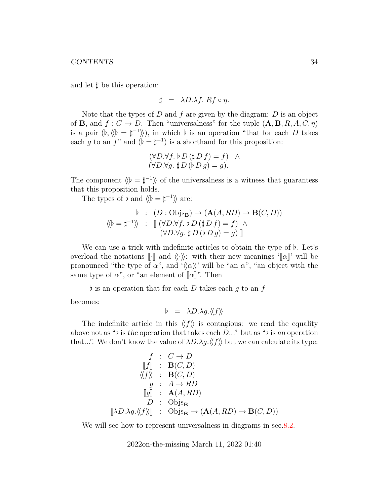and let  $\sharp$  be this operation:

$$
\sharp = \lambda D.\lambda f. Rf \circ \eta.
$$

Note that the types of  $D$  and  $f$  are given by the diagram:  $D$  is an object of **B**, and  $f: C \to D$ . Then "universalness" for the tuple  $(A, B, R, A, C, \eta)$ is a pair  $(b, \langle b \rangle = \sharp^{-1} \rangle)$ , in which b is an operation "that for each D takes" each g to an f" and  $(\flat = \sharp^{-1})$  is a shorthand for this proposition:

$$
(\forall D.\forall f. \; \flat \; D \; (\sharp \; D \; f) = f) \quad \land (\forall D.\forall g. \; \sharp \; D \; (\flat \; D \; g) = g).
$$

The component  $\langle b = \sharp^{-1} \rangle$  of the universalness is a witness that guarantess that this proposition holds.

The types of  $\flat$  and  $\langle \! \langle \flat = \sharp^{-1} \rangle \! \rangle$  are:

$$
\begin{array}{rcl}\n\flat & : & (D : \text{Objs}_{\mathbf{B}}) \to (\mathbf{A}(A, RD) \to \mathbf{B}(C, D)) \\
\langle \langle \flat = \sharp^{-1} \rangle \rangle & : & \left[ (\forall D. \forall f. \, \flat \, D \, (\sharp \, D \, f) = f) \land \\
 & (\forall D. \forall g. \, \sharp \, D \, (\flat \, D \, g) = g) \right]\n\end{array}
$$

We can use a trick with indefinite articles to obtain the type of  $\flat$ . Let's overload the notations  $\llbracket \cdot \rrbracket$  and  $\langle \langle \cdot \rangle \rangle$ : with their new meanings ' $\llbracket \alpha \rrbracket$ ' will be pronounced "the type of  $\alpha$ ", and ' $\langle\langle \alpha \rangle\rangle$ ' will be "an  $\alpha$ ", "an object with the same type of  $\alpha$ ", or "an element of  $\llbracket \alpha \rrbracket$ ". Then

 $\flat$  is an operation that for each D takes each q to an f

becomes:

$$
b = \lambda D.\lambda g.\langle\!\langle f \rangle\!\rangle
$$

The indefinite article in this  $\langle f \rangle$  is contagious: we read the equality above not as " $\flat$  is the operation that takes each D..." but as " $\flat$  is an operation that...". We don't know the value of  $\lambda D.\lambda g \langle f \rangle$  but we can calculate its type:

$$
f : C \to D
$$
  
\n
$$
[f] : B(C, D)
$$
  
\n
$$
\langle f \rangle : B(C, D)
$$
  
\n
$$
g : A \to RD
$$
  
\n
$$
[g] : A(A, RD)
$$
  
\n
$$
D : \text{Objs}_{B}
$$
  
\n
$$
[\lambda D. \lambda g. \langle f \rangle] : \text{Objs}_{B} \to (\mathbf{A}(A, RD) \to \mathbf{B}(C, D))
$$

We will see how to represent universalness in diagrams in sec. 8.2.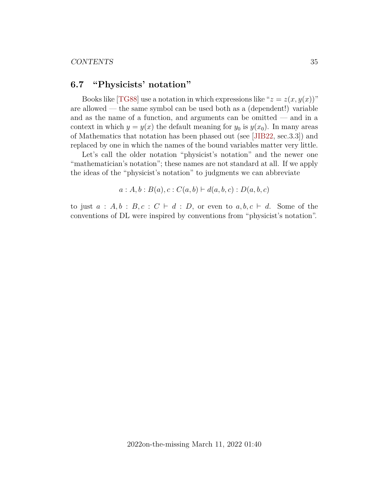### <span id="page-34-0"></span>**6.7 "Physicists' notation"**

Books like [\[TG88\]](#page-64-4) use a notation in which expressions like " $z = z(x, y(x))$ " are allowed — the same symbol can be used both as a (dependent!) variable and as the name of a function, and arguments can be omitted — and in a context in which  $y = y(x)$  the default meaning for  $y_0$  is  $y(x_0)$ . In many areas of Mathematics that notation has been phased out (see [\[JIB22,](#page-61-7) sec.3.3]) and replaced by one in which the names of the bound variables matter very little.

Let's call the older notation "physicist's notation" and the newer one "mathematician's notation"; these names are not standard at all. If we apply the ideas of the "physicist's notation" to judgments we can abbreviate

$$
a : A, b : B(a), c : C(a, b) \vdash d(a, b, c) : D(a, b, c)
$$

to just  $a : A, b : B, c : C \vdash d : D$ , or even to  $a, b, c \vdash d$ . Some of the conventions of DL were inspired by conventions from "physicist's notation".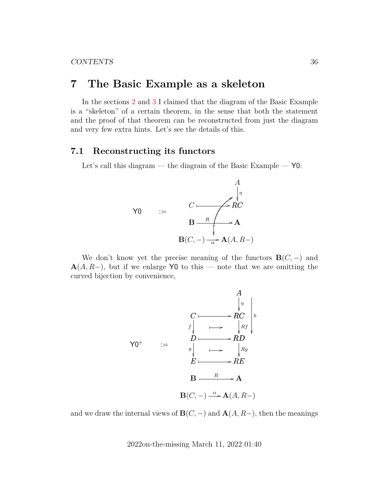## <span id="page-35-0"></span>**7 The Basic Example as a skeleton**

In the sections [2](#page-8-0) and [3](#page-12-0) I claimed that the diagram of the Basic Example is a "skeleton" of a certain theorem, in the sense that both the statement and the proof of that theorem can be reconstructed from just the diagram and very few extra hints. Let's see the details of this.

### <span id="page-35-1"></span>**7.1 Reconstructing its functors**

Let's call this diagram — the diagram of the Basic Example —  $Y0$ :



We don't know yet the precise meaning of the functors  $B(C, -)$  and  $\mathbf{A}(A, R-)$ , but if we enlarge Y0 to this — note that we are omitting the curved bijection by convenience,



and we draw the internal views of  $\mathbf{B}(C, -)$  and  $\mathbf{A}(A, R-)$ , then the meanings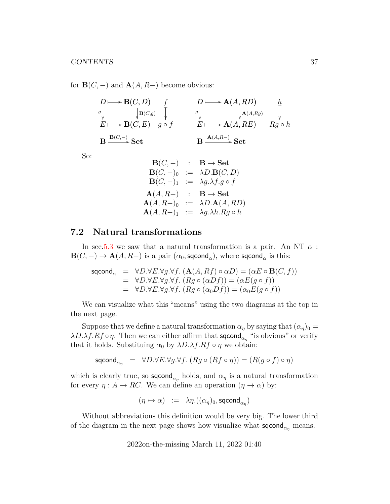for  $\mathbf{B}(C, -)$  and  $\mathbf{A}(A, R-)$  become obvious:

$$
D \longmapsto \mathbf{B}(C, D) \qquad f \qquad D \longmapsto \mathbf{A}(A, RD) \qquad h
$$
  
\n
$$
E \longmapsto \mathbf{B}(C, E) \qquad g \circ f \qquad \qquad E \longmapsto \mathbf{A}(A, RE) \qquad \bigvee_{\mathbf{A}(A, R)} \mathbf{A}(A, R) \qquad \bigvee_{\mathbf{B}(C, -)} \mathbf{B} \xrightarrow{\mathbf{B}(C, -)} \mathbf{Set} \qquad \qquad \mathbf{B} \xrightarrow{\mathbf{A}(A, R-)} \mathbf{Set}
$$

So:

$$
\begin{array}{rcl}\n\mathbf{B}(C,-) & : & \mathbf{B} \to \mathbf{Set} \\
\mathbf{B}(C,-)_0 & : = & \lambda D.\mathbf{B}(C,D) \\
\mathbf{B}(C,-)_1 & : = & \lambda g.\lambda f.g \circ f \\
\mathbf{A}(A,R-) & : & \mathbf{B} \to \mathbf{Set} \\
\mathbf{A}(A,R-)_0 & : = & \lambda D.\mathbf{A}(A,RD) \\
\mathbf{A}(A,R-)_1 & : = & \lambda g.\lambda h.Rg \circ h\n\end{array}
$$

### <span id="page-36-0"></span>**7.2 Natural transformations**

In sec[.5.3](#page-22-0) we saw that a natural transformation is a pair. An NT  $\alpha$ :  $\mathbf{B}(C,-) \to \mathbf{A}(A,R-)$  is a pair  $(\alpha_0,\mathsf{sqcond}_\alpha),$  where  $\mathsf{sqcond}_\alpha$  is this:

$$
\begin{array}{rcl}\n\mathsf{sqcond}_{\alpha} & = & \forall D. \forall E. \forall g. \forall f. \ (\mathbf{A}(A, Rf) \circ \alpha D) = (\alpha E \circ \mathbf{B}(C, f)) \\
& = & \forall D. \forall E. \forall g. \forall f. \ (Rg \circ (\alpha Df)) = (\alpha E(g \circ f)) \\
& = & \forall D. \forall E. \forall g. \forall f. \ (Rg \circ (\alpha_0 Df)) = (\alpha_0 E(g \circ f))\n\end{array}
$$

We can visualize what this "means" using the two diagrams at the top in the next page.

Suppose that we define a natural transformation  $\alpha_{\eta}$  by saying that  $(\alpha_{\eta})_0 =$  $\lambda D.\lambda f.Rf \circ \eta$ . Then we can either affirm that **sqcond**<sub> $\alpha_{\eta}$ </sub> "is obvious" or verify that it holds. Substituing  $\alpha_0$  by  $\lambda D.\lambda f.Rf \circ \eta$  we obtain:

$$
\mathsf{sqcond}_{\alpha_{\eta}} = \forall D. \forall E. \forall g. \forall f. \ (Rg \circ (Rf \circ \eta)) = (R(g \circ f) \circ \eta)
$$

which is clearly true, so  $\mathsf{sqcond}_{\alpha_{\eta}}$  holds, and  $\alpha_{\eta}$  is a natural transformation for every  $\eta : A \to RC$ . We can define an operation  $(\eta \to \alpha)$  by:

$$
(\eta \mapsto \alpha) \ := \ \lambda \eta.((\alpha_{\eta})_0, \text{sqcond}_{\alpha_{\eta}})
$$

Without abbreviations this definition would be very big. The lower third of the diagram in the next page shows how visualize what  $\mathsf{sqcond}_{\alpha_n}$  means.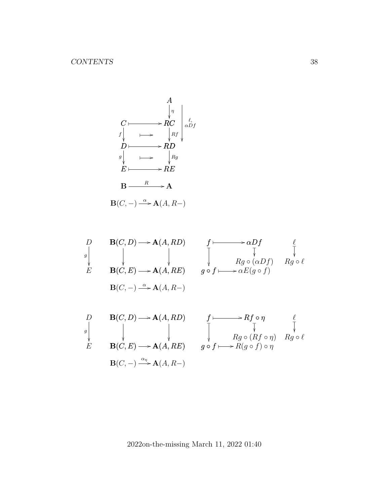A RC η C ✤ / D f RD Rf ✤ / D ✤ / E g RE Rg ✤ / E ✤ / `, αDf B A <sup>R</sup> / B(C, −) A(A, R−) <sup>α</sup> /

 $\mathbf{B}(C, -) \xrightarrow{\alpha_{\eta}} \mathbf{A}(A, R-)$ 

$$
\begin{array}{cccc}\nD & \mathbf{B}(C, D) \longrightarrow \mathbf{A}(A, RD) & f \longmapsto \alpha Df & \ell \\
\downarrow & \downarrow & \downarrow & \downarrow & \downarrow \\
E & \mathbf{B}(C, E) \longrightarrow \mathbf{A}(A, RE) & g \circ f \longmapsto \alpha E(g \circ f) & Rg \circ \ell \\
\end{array}
$$
\n
$$
\begin{array}{cccc}\nD & \mathbf{B}(C, D) \longrightarrow \mathbf{A}(A, RD) & f \longmapsto Rf \circ \eta & \ell \\
\downarrow & \downarrow & \downarrow & \downarrow \\
g & \downarrow & \downarrow & \downarrow & \downarrow \\
\end{array}
$$
\n
$$
\begin{array}{cccc}\nD & \mathbf{B}(C, D) \longrightarrow \mathbf{A}(A, RD) & f \longmapsto Rf \circ \eta & \ell \\
\downarrow & \downarrow & \downarrow & \downarrow & \downarrow \\
B(C, E) \longrightarrow \mathbf{A}(A, RE) & g \circ f \longmapsto R(g \circ f) \circ \eta & Rg \circ \ell\n\end{array}
$$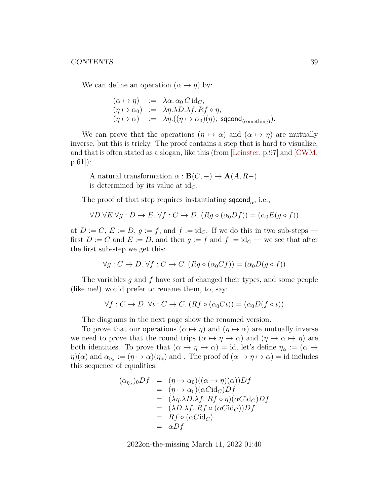We can define an operation  $(\alpha \mapsto \eta)$  by:

$$
\begin{array}{rcl}\n(\alpha \mapsto \eta) & := & \lambda \alpha. \, \alpha_0 \, C \, \mathrm{id}_C, \\
(\eta \mapsto \alpha_0) & := & \lambda \eta. \lambda D. \lambda f. \, Rf \circ \eta, \\
(\eta \mapsto \alpha) & := & \lambda \eta. ((\eta \mapsto \alpha_0)(\eta), \, \, \text{sqcond}_{\text{(something)}}).\n\end{array}
$$

We can prove that the operations  $(\eta \mapsto \alpha)$  and  $(\alpha \mapsto \eta)$  are mutually inverse, but this is tricky. The proof contains a step that is hard to visualize, and that is often stated as a slogan, like this (from [\[Leinster,](#page-62-3) p.97] and [\[CWM,](#page-60-2) p.61]):

A natural transformation  $\alpha : \mathbf{B}(C, -) \to \mathbf{A}(A, R-)$ is determined by its value at  $id_C$ .

The proof of that step requires instantiating  $\mathsf{sqcond}_{\alpha}$ , i.e.,

$$
\forall D. \forall E. \forall g: D \to E. \forall f: C \to D. (Rg \circ (\alpha_0 Df)) = (\alpha_0 E(g \circ f))
$$

at  $D := C, E := D, g := f$ , and  $f := id_C$ . If we do this in two sub-steps first  $D := C$  and  $E := D$ , and then  $g := f$  and  $f := id_C$  — we see that after the first sub-step we get this:

$$
\forall g : C \to D. \,\forall f : C \to C. \,(Rg \circ (\alpha_0 Cf)) = (\alpha_0 D(g \circ f))
$$

The variables q and f have sort of changed their types, and some people (like me!) would prefer to rename them, to, say:

$$
\forall f : C \to D. \ \forall \iota : C \to C. \ (Rf \circ (\alpha_0 C \iota)) = (\alpha_0 D(f \circ \iota))
$$

The diagrams in the next page show the renamed version.

To prove that our operations  $(\alpha \mapsto \eta)$  and  $(\eta \mapsto \alpha)$  are mutually inverse we need to prove that the round trips  $(\alpha \mapsto \eta \mapsto \alpha)$  and  $(\eta \mapsto \alpha \mapsto \eta)$  are both identities. To prove that  $(\alpha \mapsto \eta \mapsto \alpha) = id$ , let's define  $\eta_{\alpha} := (\alpha \mapsto \alpha)$  $\eta(\alpha)$  and  $\alpha_{\eta_\alpha} := (\eta \mapsto \alpha)(\eta_\alpha)$  and . The proof of  $(\alpha \mapsto \eta \mapsto \alpha) = id$  includes this sequence of equalities:

$$
(\alpha_{\eta_{\alpha}})_0 Df = (\eta \mapsto \alpha_0)((\alpha \mapsto \eta)(\alpha))Df
$$
  
\n
$$
= (\eta \mapsto \alpha_0)(\alpha C \mathrm{id}_C)Df
$$
  
\n
$$
= (\lambda \eta \cdot \lambda D \cdot \lambda f \cdot Rf \circ \eta)(\alpha C \mathrm{id}_C)Df
$$
  
\n
$$
= (\lambda D \cdot \lambda f \cdot Rf \circ (\alpha C \mathrm{id}_C))Df
$$
  
\n
$$
= Rf \circ (\alpha C \mathrm{id}_C)
$$
  
\n
$$
= \alpha Df
$$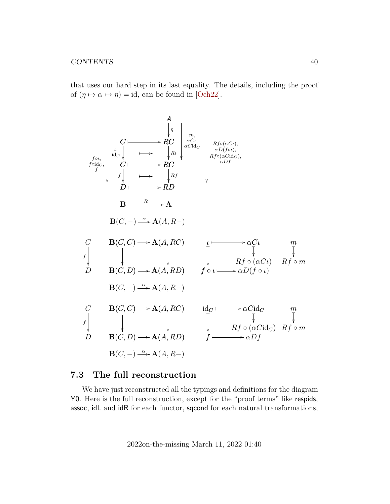that uses our hard step in its last equality. The details, including the proof of  $(\eta \mapsto \alpha \mapsto \eta) = id$ , can be found in [\[Och22\]](#page-63-5).



### <span id="page-39-0"></span>**7.3 The full reconstruction**

We have just reconstructed all the typings and definitions for the diagram Y0. Here is the full reconstruction, except for the "proof terms" like respids, assoc, idL and idR for each functor, sqcond for each natural transformations,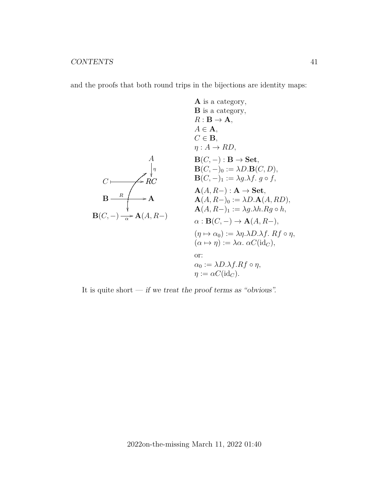and the proofs that both round trips in the bijections are identity maps:

A is a category,  
\nB is a category,  
\nB is a category,  
\n
$$
R : B \rightarrow A
$$
,  
\n $A \in A$ ,  
\n $C \in B$ ,  
\n $\eta : A \rightarrow RD$ ,  
\nB(C, -) : B  $\rightarrow$  Set,  
\nB(C, -) : B  $\rightarrow$  Set,  
\nB(C, -) : B  $\rightarrow$  Set,  
\nB(C, -) : A  $\rightarrow$  Set,  
\nB(A, R-) : A  $\rightarrow$  Set,  
\nA(A, R-) : A  $\rightarrow$  Set,  
\nA(A, R-) : A  $\rightarrow$  Set,  
\nA(A, R-) : A  $\rightarrow$  Set,  
\nA(A, R-) : A  $\rightarrow$  Set,  
\nA(A, R-) : A  $\rightarrow$  Set,  
\nA(A, R-) : =  $\lambda g . \lambda h . Rg \circ h$ ,  
\n $\alpha : B(C, -) \rightarrow A(A, R-)$ ,  
\n $(\alpha \mapsto \eta) := \lambda \alpha . \alpha C(id_C)$ ,  
\nor:  
\n $\alpha_0 := \lambda D . \lambda f . Rf \circ \eta$ ,  
\n $\eta := \alpha C(id_C)$ .

It is quite short — if we treat the proof terms as "obvious".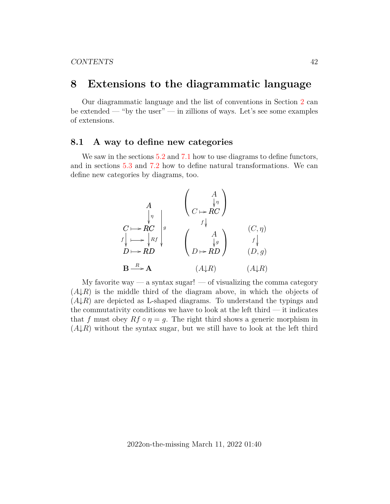## <span id="page-41-0"></span>**8 Extensions to the diagrammatic language**

Our diagrammatic language and the list of conventions in Section [2](#page-8-0) can be extended — "by the user" — in zillions of ways. Let's see some examples of extensions.

### <span id="page-41-1"></span>**8.1 A way to define new categories**

We saw in the sections  $5.2$  and  $7.1$  how to use diagrams to define functors, and in sections [5.3](#page-22-0) and [7.2](#page-36-0) how to define natural transformations. We can define new categories by diagrams, too.

$$
\begin{array}{ccc}\nA & \begin{pmatrix} & A \\ \downarrow & \uparrow \\ \downarrow & \uparrow \end{pmatrix} \\
C \longmapsto RC & \downarrow s \\
f \downarrow \longmapsto \downarrow Rf & \begin{pmatrix} & A \\ \downarrow & \downarrow \\ f \downarrow & \downarrow \end{pmatrix} \\
B \longmapsto RD & \begin{pmatrix} & A \\ \downarrow & \downarrow \\ D \longmapsto RD & \begin{pmatrix} & \downarrow \\ \downarrow & \downarrow \\ D \longmapsto RD & \end{pmatrix} & \begin{pmatrix} & (C, \eta) \\ \downarrow & \downarrow \\ (D, g) & \end{pmatrix} \\
B \xrightarrow{R} A & (A \downarrow R) & (A \downarrow R)\n\end{array}
$$

My favorite way — a syntax sugar! — of visualizing the comma category  $(A\downarrow R)$  is the middle third of the diagram above, in which the objects of  $(A\downarrow R)$  are depicted as L-shaped diagrams. To understand the typings and the commutativity conditions we have to look at the left third — it indicates that f must obey  $Rf \circ \eta = g$ . The right third shows a generic morphism in  $(A\downarrow R)$  without the syntax sugar, but we still have to look at the left third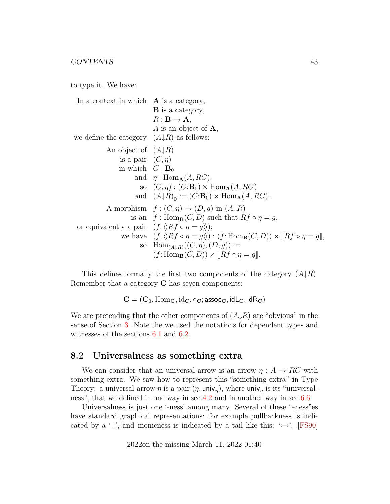to type it. We have:

In a context in which  $\bf{A}$  is a category, B is a category,  $R: \mathbf{B} \to \mathbf{A},$ A is an object of A, we define the category  $(A\downarrow R)$  as follows: An object of  $(A\downarrow R)$ is a pair  $(C, \eta)$ in which  $C : \mathbf{B}_0$ and  $\eta$ : Hom<sub>A</sub> $(A, RC);$ so  $(C, \eta) : (C:\mathbf{B}_0) \times \text{Hom}_{\mathbf{A}}(A, RC)$ and  $(A\downarrow R)_0 := (C:\mathbf{B}_0) \times \text{Hom}_{\mathbf{A}}(A, RC).$ A morphism  $f : (C, \eta) \to (D, g)$  in  $(A \downarrow R)$ is an  $f: \text{Hom}_{\mathbf{B}}(C, D)$  such that  $Rf \circ \eta = g$ , or equivalently a pair  $(f, \langle Rf \circ \eta = g \rangle);$ we have  $(f, \langle \overline{Rf \circ \eta} = g \rangle) : (f: \text{Hom}_{\mathbf{B}}(C, D)) \times [Rf \circ \eta = g],$ so  $Hom_{(A\downarrow R)}((C, \eta), (D, g)) :=$  $(f: \text{Hom}_{\mathbf{B}}(C, D)) \times [Rf \circ \eta = g].$ 

This defines formally the first two components of the category  $(A\downarrow R)$ . Remember that a category C has seven components:

 $C = (C_0, \text{Hom}_C, \text{id}_C, \circ_C; \text{assoc}_C, \text{idL}_C, \text{idR}_C)$ 

We are pretending that the other components of  $(A \downarrow R)$  are "obvious" in the sense of Section [3.](#page-12-0) Note the we used the notations for dependent types and witnesses of the sections  $6.1$  and  $6.2$ .

### <span id="page-42-0"></span>**8.2 Universalness as something extra**

We can consider that an universal arrow is an arrow  $\eta : A \to RC$  with something extra. We saw how to represent this "something extra" in Type Theory: a universal arrow  $\eta$  is a pair  $(\eta, \text{univ}_{\eta})$ , where univ<sub> $\eta$ </sub> is its "universalness", that we defined in one way in sec. 4.2 and in another way in sec. 6.6.

Universalness is just one '-ness' among many. Several of these "-ness"es have standard graphical representations: for example pullbackness is indicated by a  $\perp$ , and monicness is indicated by a tail like this:  $\rightarrow$ . [\[FS90\]](#page-61-4)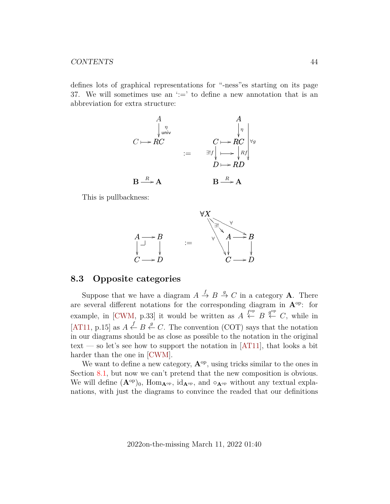#### CONTENTS 44

defines lots of graphical representations for "-ness"es starting on its page 37. We will sometimes use an  $\dot{ } := '$  to define a new annotation that is an abbreviation for extra structure:

$$
C \longmapsto RC
$$
\n
$$
\downarrow_{\text{univ}}^{n}
$$
\n
$$
C \longmapsto RC
$$
\n
$$
\downarrow_{\text{univ}}^{n}
$$
\n
$$
\downarrow_{\text{univ}}^{n}
$$
\n
$$
\downarrow_{\text{in}}^{n}
$$
\n
$$
\downarrow_{\text{in}}^{n}
$$
\n
$$
\downarrow_{\text{in}}^{n}
$$
\n
$$
\downarrow_{\text{in}}^{n}
$$
\n
$$
\downarrow_{\text{in}}^{n}
$$
\n
$$
\downarrow_{\text{in}}^{n}
$$
\n
$$
\downarrow_{\text{in}}^{n}
$$
\n
$$
\downarrow_{\text{in}}^{n}
$$
\n
$$
\downarrow_{\text{in}}^{n}
$$
\n
$$
\downarrow_{\text{in}}^{n}
$$
\n
$$
\downarrow_{\text{in}}^{n}
$$
\n
$$
\downarrow_{\text{in}}^{n}
$$
\n
$$
\downarrow_{\text{in}}^{n}
$$
\n
$$
\downarrow_{\text{in}}^{n}
$$
\n
$$
\downarrow_{\text{in}}^{n}
$$
\n
$$
\downarrow_{\text{in}}^{n}
$$
\n
$$
\downarrow_{\text{in}}^{n}
$$
\n
$$
\downarrow_{\text{in}}^{n}
$$
\n
$$
\downarrow_{\text{in}}^{n}
$$
\n
$$
\downarrow_{\text{in}}^{n}
$$
\n
$$
\downarrow_{\text{in}}^{n}
$$
\n
$$
\downarrow_{\text{in}}^{n}
$$
\n
$$
\downarrow_{\text{in}}^{n}
$$
\n
$$
\downarrow_{\text{in}}^{n}
$$
\n
$$
\downarrow_{\text{in}}^{n}
$$
\n
$$
\downarrow_{\text{in}}^{n}
$$
\n
$$
\downarrow_{\text{in}}^{n}
$$
\n
$$
\downarrow_{\text{in}}^{n}
$$
\n
$$
\downarrow_{\text{in}}^{n}
$$
\n
$$
\downarrow_{\text{in}}^{n}
$$
\n
$$
\downarrow_{\text{in}}^{n}
$$
\n
$$
\downarrow_{\text{in}}^{n}
$$
\n
$$
\downarrow_{\text{in}}^{n}
$$
\n
$$
\downarrow_{\
$$

This is pullbackness:



### <span id="page-43-0"></span>**8.3 Opposite categories**

Suppose that we have a diagram  $A \stackrel{f}{\to} B \stackrel{g}{\to} C$  in a category **A**. There are several different notations for the corresponding diagram in  $A^{op}$ : for example, in [\[CWM,](#page-60-2) p.33] it would be written as  $A \stackrel{f^{\text{op}}}{\leftarrow} B \stackrel{g^{\text{op}}}{\leftarrow} C$ , while in [\[AT11,](#page-59-1) p.15] as  $A \stackrel{f}{\leftarrow} B \stackrel{g}{\leftarrow} C$ . The convention (COT) says that the notation in our diagrams should be as close as possible to the notation in the original text — so let's see how to support the notation in  $[AT11]$ , that looks a bit harder than the one in [\[CWM\]](#page-60-2).

We want to define a new category,  $\mathbf{A}^{\text{op}}$ , using tricks similar to the ones in Section [8.1,](#page-41-1) but now we can't pretend that the new composition is obvious. We will define  $(\mathbf{A}^{\text{op}})_0$ ,  $\text{Hom}_{\mathbf{A}^{\text{op}}}$ ,  $\text{id}_{\mathbf{A}^{\text{op}}}$ , and  $\circ_{\mathbf{A}^{\text{op}}}$  without any textual explanations, with just the diagrams to convince the readed that our definitions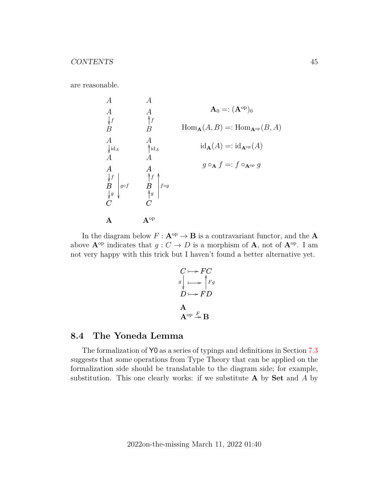are reasonable.

A A B f A A id<sup>A</sup> A B f C g g◦f A A A B OO f A A OO id<sup>A</sup> A B OO f C OO g OO f◦g Aop A<sup>0</sup> =: (Aop)<sup>0</sup> HomA(A, B) =: HomAop(B, A) idA(A) =: idAop(A) g ◦<sup>A</sup> f =: f ◦Aop g

In the diagram below  $F: \mathbf{A}^{\mathrm{op}} \to \mathbf{B}$  is a contravariant functor, and the **A** above  $\mathbf{A}^{\text{op}}$  indicates that  $g: C \to D$  is a morphism of  $\mathbf{A}$ , not of  $\mathbf{A}^{\text{op}}$ . I am not very happy with this trick but I haven't found a better alternative yet.

$$
C \longmapsto FC
$$
  
\n
$$
g \downarrow \longrightarrow \uparrow Fg
$$
  
\n
$$
D \longmapsto FD
$$
  
\nA  
\n
$$
A^{op} \stackrel{F}{\rightarrow} B
$$

### <span id="page-44-0"></span>**8.4 The Yoneda Lemma**

The formalization of Y0 as a series of typings and definitions in Section [7.3](#page-39-0) suggests that some operations from Type Theory that can be applied on the formalization side should be translatable to the diagram side; for example, substitution. This one clearly works: if we substitute  $A$  by  $Set$  and  $A$  by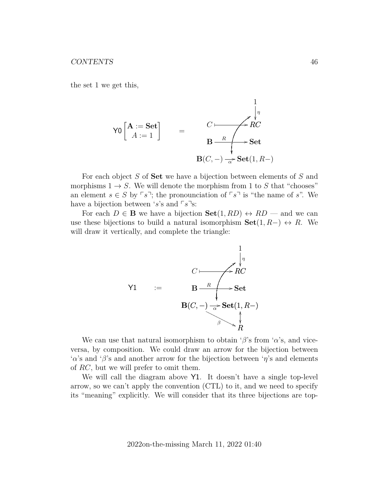the set 1 we get this,

$$
\operatorname{Y0}\left[\begin{array}{c}\n\mathbf{A} := \mathbf{Set} \\
A := 1\n\end{array}\right] = \n\begin{array}{c}\n\begin{array}{c}\n\downarrow \\
\downarrow \\
\mathbf{B} - R \\
\hline\n\end{array}\n\end{array}
$$
\nSet\n
$$
\mathbf{B}(C, -) \xrightarrow[\alpha]{\alpha} \mathbf{Set}(1, R -)
$$

For each object S of **Set** we have a bijection between elements of S and morphisms  $1 \rightarrow S$ . We will denote the morphism from 1 to S that "chooses" an element  $s \in S$  by  $\lceil s \rceil$ ; the pronounciation of  $\lceil s \rceil$  is "the name of s". We have a bijection between 's's and  $\lceil s \rceil s$ :

For each  $D \in \mathbf{B}$  we have a bijection  $\mathbf{Set}(1, RD) \leftrightarrow RD$  — and we can use these bijections to build a natural isomorphism  $\textbf{Set}(1, R-) \leftrightarrow R$ . We will draw it vertically, and complete the triangle:



We can use that natural isomorphism to obtain ' $\beta$ 's from ' $\alpha$ 's, and viceversa, by composition. We could draw an arrow for the bijection between ' $\alpha$ 's and ' $\beta$ 's and another arrow for the bijection between ' $\eta$ 's and elements of RC, but we will prefer to omit them.

We will call the diagram above  $Y1$ . It doesn't have a single top-level arrow, so we can't apply the convention (CTL) to it, and we need to specify its "meaning" explicitly. We will consider that its three bijections are top-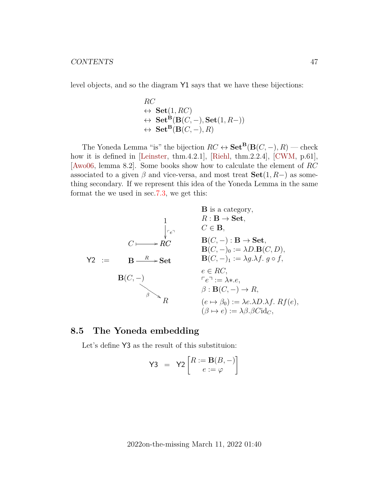level objects, and so the diagram Y1 says that we have these bijections:

$$
RC
$$
  
\n
$$
\leftrightarrow \mathbf{Set}(1, RC)
$$
  
\n
$$
\leftrightarrow \mathbf{Set}^{\mathbf{B}}(\mathbf{B}(C, -), \mathbf{Set}(1, R-))
$$
  
\n
$$
\leftrightarrow \mathbf{Set}^{\mathbf{B}}(\mathbf{B}(C, -), R)
$$

The Yoneda Lemma "is" the bijection  $RC \leftrightarrow \mathbf{Set}^{\mathbf{B}}(\mathbf{B}(C,-),R)$  — check how it is defined in [\[Leinster,](#page-62-3) thm.4.2.1], [\[Riehl,](#page-63-3) thm.2.2.4], [\[CWM,](#page-60-2) p.61], [\[Awo06,](#page-60-3) lemma 8.2]. Some books show how to calculate the element of RC associated to a given  $\beta$  and vice-versa, and most treat  $\textbf{Set}(1, R-)$  as something secondary. If we represent this idea of the Yoneda Lemma in the same format the we used in sec[.7.3,](#page-39-0) we get this:

| B is a category,                                                    |                                                 |
|---------------------------------------------------------------------|-------------------------------------------------|
| 1                                                                   | $R: \mathbf{B} \rightarrow \mathbf{Set},$       |
| $C \longleftarrow R$                                                | $C \in \mathbf{B},$                             |
| $C \longleftarrow R$                                                | $B(C, -): \mathbf{B} \rightarrow \mathbf{Set},$ |
| $B(C, -) \circ := \lambda D \cdot B(C, D),$                         |                                                 |
| $\mathbf{B}(C, -) \circ := \lambda D \cdot B(C, D),$                |                                                 |
| $\mathbf{B}(C, -) \circ := \lambda g \cdot \lambda f.$ $g \circ f,$ |                                                 |
| $e \in RC,$                                                         |                                                 |
| $\mathbf{B}(C, -) \circ := \lambda g \cdot \lambda f.$ $g \circ f,$ |                                                 |
| $e \in RC,$                                                         |                                                 |
| $\beta : \mathbf{B}(C, -) \rightarrow R,$                           |                                                 |
| $\beta : \mathbf{B}(C, -) \rightarrow R,$                           |                                                 |
| $\beta : \mathbf{B}(C, -) \rightarrow R,$                           |                                                 |
| $(e \mapsto \beta_0) := \lambda e.\lambda D.\lambda f.$ $Rf(e),$    |                                                 |
| $(\beta \mapsto e) := \lambda \beta.\beta Ci \mathbf{d}_C,$         |                                                 |

## <span id="page-46-0"></span>**8.5 The Yoneda embedding**

Let's define Y3 as the result of this substituion:

$$
\mathsf{Y3} = \mathsf{Y2}\left[\begin{matrix} R := \mathbf{B}(B,-) \\ e := \varphi \end{matrix}\right]
$$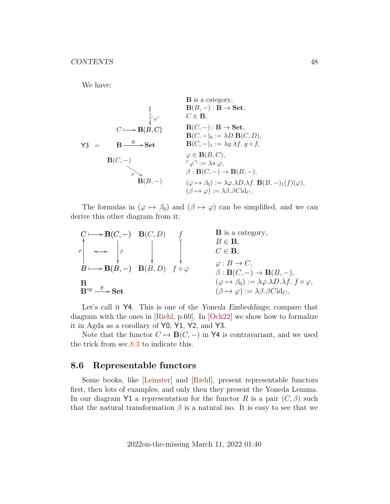We have:

**B** is a category,  
\n**B**(B,-): **B** 
$$
\rightarrow
$$
 Set,  
\n $\downarrow \tau \varphi$   
\n $C \longleftarrow \mathbf{B}(B, C)$   
\n $\mathbf{B}(C, -): \mathbf{B} \rightarrow \mathbf{Set},$   
\n $\mathbf{B}(C, -): \mathbf{B} \rightarrow \mathbf{Set},$   
\n $\mathbf{B}(C, -): \mathbf{B} \rightarrow \mathbf{Set},$   
\n $\mathbf{B}(C, -): \mathbf{B} \rightarrow \mathbf{Set},$   
\n $\mathbf{B}(C, -): \mathbf{B} \rightarrow \mathbf{Set},$   
\n $\mathbf{B}(C, -): \mathbf{B} \rightarrow \mathbf{Set},$   
\n $\mathbf{B}(C, -): \mathbf{B} \rightarrow \mathbf{Set},$   
\n $\mathbf{B}(C, -): \mathbf{B} \rightarrow \mathbf{Set},$   
\n $\mathbf{B}(C, -): \mathbf{B} \rightarrow \mathbf{Set},$   
\n $\mathbf{B}(C, -): \mathbf{B} \rightarrow \mathbf{Set},$   
\n $\mathbf{B}(C, -): \mathbf{B} \rightarrow \mathbf{Set},$   
\n $\mathbf{B}(C, -): \mathbf{B} \rightarrow \mathbf{Set},$   
\n $\mathbf{B}(C, -): \mathbf{B} \rightarrow \mathbf{Set},$   
\n $\mathbf{B}(C, -): \mathbf{B} \rightarrow \mathbf{Set},$   
\n $\mathbf{B}(C, -): \mathbf{B} \rightarrow \mathbf{Set},$   
\n $\mathbf{B}(C, -): \mathbf{B} \rightarrow \mathbf{Set},$   
\n $\mathbf{B}(C, -): \mathbf{B} \rightarrow \mathbf{Set},$   
\n $\mathbf{B}(C, -): \mathbf{B} \rightarrow \mathbf{Set},$   
\n $\mathbf{B}(C, -): \mathbf{B} \rightarrow \mathbf{Set},$   
\n $\mathbf{B}(C, -): \mathbf{B} \rightarrow \mathbf{Set},$   
\n $\mathbf{B}(C, -): \mathbf{B} \rightarrow \mathbf{Set},$   
\n $\mathbf{B}(C, -): \mathbf{B$ 

The formulas in  $(\varphi \mapsto \beta_0)$  and  $(\beta \mapsto \varphi)$  can be simplified, and we can derive this other diagram from it:

| $C \longmapsto \mathbf{B}(C, -)$                               | $\mathbf{B}(C, D)$                                                               | $f$                 | $B$ is a category,            |                      |
|----------------------------------------------------------------|----------------------------------------------------------------------------------|---------------------|-------------------------------|----------------------|
| $\varphi$                                                      | $\longrightarrow$                                                                | $\beta$             | $\downarrow$                  | $B \in \mathbf{B}$ , |
| $B \longmapsto \mathbf{B}(B, -)$                               | $\mathbf{B}(B, D)$                                                               | $f \circ \varphi$   | $\varphi : B \rightarrow C$ , |                      |
| $\beta : \mathbf{B}(C, -) \rightarrow \mathbf{B}(B, -)$ ,      |                                                                                  |                     |                               |                      |
| $\beta$                                                        | $(\varphi \mapsto \beta_0) := \lambda \varphi \cdot \lambda D \cdot \lambda f$ . | $f \circ \varphi$ , |                               |                      |
| $\mathbf{B}^{\text{op}} \xrightarrow{\mathbf{y}} \mathbf{Set}$ | $(\beta \mapsto \varphi) := \lambda \beta \cdot \beta \text{Cid}_C$ ,            |                     |                               |                      |

Let's call it Y4. This is one of the Yoneda Embeddings; compare that diagram with the ones in [\[Riehl,](#page-63-3) p.60]. In [\[Och22\]](#page-63-5) we show how to formalize it in Agda as a corollary of Y0, Y1, Y2, and Y3.

Note that the functor  $C \mapsto \mathbf{B}(C, -)$  in Y4 is contravariant, and we used the trick from sec[.8.3](#page-43-0) to indicate this.

### <span id="page-47-0"></span>**8.6 Representable functors**

Some books, like [\[Leinster\]](#page-62-3) and [\[Riehl\]](#page-63-3), present representable functors first, then lots of examples, and only then they present the Yoneda Lemma. In our diagram Y1 a representation for the functor R is a pair  $(C, \beta)$  such that the natural transformation  $\beta$  is a natural iso. It is easy to see that we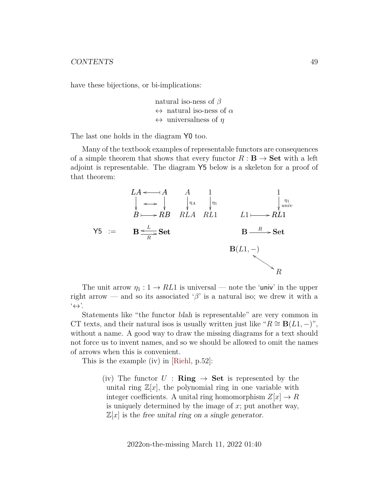have these bijections, or bi-implications:

natural iso-ness of  $\beta$  $\leftrightarrow$  natural iso-ness of  $\alpha$  $\leftrightarrow$  universalness of  $\eta$ 

The last one holds in the diagram Y0 too.

Many of the textbook examples of representable functors are consequences of a simple theorem that shows that every functor  $R : \mathbf{B} \to \mathbf{Set}$  with a left adjoint is representable. The diagram Y5 below is a skeleton for a proof of that theorem:



The unit arrow  $\eta_1 : 1 \to RL1$  is universal — note the 'univ' in the upper right arrow — and so its associated ' $\beta$ ' is a natural iso; we drew it with a  $\leftrightarrow$ '.

Statements like "the functor blah is representable" are very common in CT texts, and their natural isos is usually written just like " $R \cong B(L1, -)$ ", without a name. A good way to draw the missing diagrams for a text should not force us to invent names, and so we should be allowed to omit the names of arrows when this is convenient.

This is the example (iv) in [\[Riehl,](#page-63-3) p.52]:

(iv) The functor  $U : \mathbf{Ring} \to \mathbf{Set}$  is represented by the unital ring  $\mathbb{Z}[x]$ , the polynomial ring in one variable with integer coefficients. A unital ring homomorphism  $Z[x] \to R$ is uniquely determined by the image of  $x$ ; put another way,  $\mathbb{Z}[x]$  is the free unital ring on a single generator.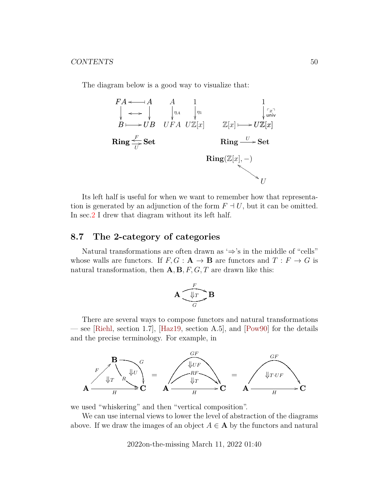The diagram below is a good way to visualize that:



Its left half is useful for when we want to remember how that representation is generated by an adjunction of the form  $F \dashv U$ , but it can be omitted. In sec[.2](#page-8-0) I drew that diagram without its left half.

### <span id="page-49-0"></span>**8.7 The 2-category of categories**

Natural transformations are often drawn as  $\Rightarrow$ 's in the middle of "cells" whose walls are functors. If  $F, G : A \to B$  are functors and  $T : F \to G$  is natural transformation, then  $A, B, F, G, T$  are drawn like this:

$$
\mathbf{A} \underbrace{\sqrt{\mathbf{I}_T \mathbf{I}}}_{G} \mathbf{B}
$$

There are several ways to compose functors and natural transformations — see [\[Riehl,](#page-63-3) section 1.7], [\[Haz19,](#page-61-8) section A.5], and [\[Pow90\]](#page-63-6) for the details and the precise terminology. For example, in



we used "whiskering" and then "vertical composition".

We can use internal views to lower the level of abstraction of the diagrams above. If we draw the images of an object  $A \in \mathbf{A}$  by the functors and natural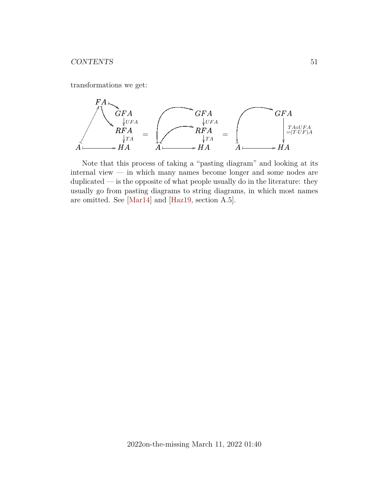transformations we get:



Note that this process of taking a "pasting diagram" and looking at its internal view — in which many names become longer and some nodes are duplicated — is the opposite of what people usually do in the literature: they usually go from pasting diagrams to string diagrams, in which most names are omitted. See [\[Mar14\]](#page-62-7) and [\[Haz19,](#page-61-8) section A.5].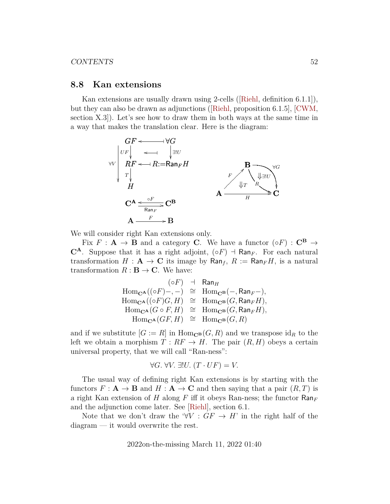#### <span id="page-51-0"></span>**8.8 Kan extensions**

Kan extensions are usually drawn using 2-cells([\[Riehl,](#page-63-3) definition 6.1.1]), but they can also be drawn as adjunctions([\[Riehl,](#page-63-3) proposition 6.1.5], [\[CWM,](#page-60-2) section X.3]). Let's see how to draw them in both ways at the same time in a way that makes the translation clear. Here is the diagram:



We will consider right Kan extensions only.

Fix  $F : A \rightarrow B$  and a category C. We have a functor  $(\circ F) : C^B \rightarrow$  $\mathbb{C}^{\mathbf{A}}$ . Suppose that it has a right adjoint,  $(\circ F)$  + Ran<sub>F</sub>. For each natural transformation  $H : A \to \mathbb{C}$  its image by  $\textsf{Ran}_f$ ,  $R := \textsf{Ran}_F H$ , is a natural transformation  $R : \mathbf{B} \to \mathbf{C}$ . We have:

$$
(\circ F) \quad \vdash \quad \textsf{Ran}_H
$$
\n
$$
\text{Hom}_{\mathbf{C}^{\mathbf{A}}}((\circ F) -, -) \cong \quad \text{Hom}_{\mathbf{C}^{\mathbf{B}}}(-, \textsf{Ran}_F-),
$$
\n
$$
\text{Hom}_{\mathbf{C}^{\mathbf{A}}}((\circ F)G, H) \cong \quad \text{Hom}_{\mathbf{C}^{\mathbf{B}}}(G, \textsf{Ran}_F H),
$$
\n
$$
\text{Hom}_{\mathbf{C}^{\mathbf{A}}}(G \circ F, H) \cong \quad \text{Hom}_{\mathbf{C}^{\mathbf{B}}}(G, \textsf{Ran}_F H),
$$
\n
$$
\text{Hom}_{\mathbf{C}^{\mathbf{A}}}(GF, H) \cong \quad \text{Hom}_{\mathbf{C}^{\mathbf{B}}}(G, R)
$$

and if we substitute  $[G] := R$  in  $\text{Hom}_{\mathbb{C}^{\mathbf{B}}}(G, R)$  and we transpose  $\text{id}_{R}$  to the left we obtain a morphism  $T : RF \to H$ . The pair  $(R, H)$  obeys a certain universal property, that we will call "Ran-ness":

$$
\forall G. \ \forall V. \ \exists ! U. \ (T \cdot UF) = V.
$$

The usual way of defining right Kan extensions is by starting with the functors  $F: \mathbf{A} \to \mathbf{B}$  and  $H: \mathbf{A} \to \mathbf{C}$  and then saying that a pair  $(R, T)$  is a right Kan extension of H along F iff it obeys Ran-ness; the functor  $\text{Ran}_F$ and the adjunction come later. See [\[Riehl\]](#page-63-3), section 6.1.

Note that we don't draw the ' $\forall V : GF \rightarrow H'$  in the right half of the diagram — it would overwrite the rest.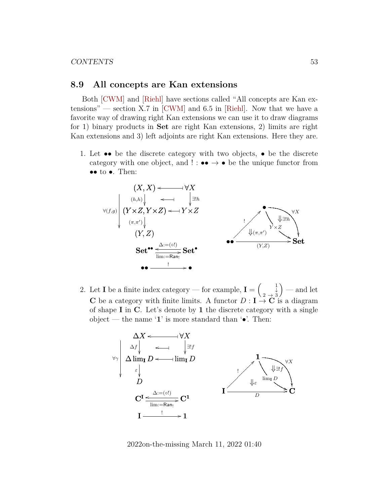#### <span id="page-52-0"></span>**8.9 All concepts are Kan extensions**

Both [\[CWM\]](#page-60-2) and [\[Riehl\]](#page-63-3) have sections called "All concepts are Kan extensions" — section X.7 in  $[CWM]$  and 6.5 in [\[Riehl\]](#page-63-3). Now that we have a favorite way of drawing right Kan extensions we can use it to draw diagrams for 1) binary products in Set are right Kan extensions, 2) limits are right Kan extensions and 3) left adjoints are right Kan extensions. Here they are.

1. Let  $\bullet\bullet$  be the discrete category with two objects,  $\bullet$  be the discrete category with one object, and  $\cdot : \bullet \bullet \to \bullet$  be the unique functor from •• to •. Then:



2. Let **I** be a finite index category — for example,  $I = \begin{pmatrix} 1 & 1 \\ 1 & 1 \end{pmatrix}$  $2 \rightarrow 3$  $)$  — and let C be a category with finite limits. A functor  $D: I \to \mathbb{C}$  is a diagram of shape I in C. Let's denote by 1 the discrete category with a single object — the name '1' is more standard than ' $\bullet$ '. Then:

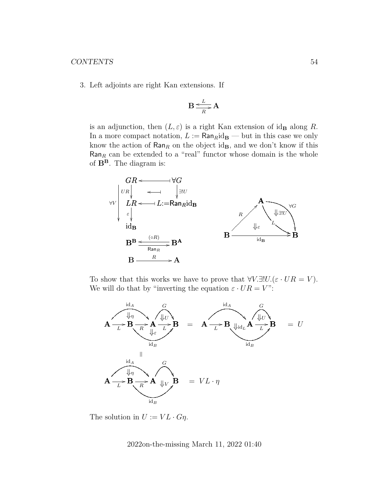3. Left adjoints are right Kan extensions. If

$$
B \xrightarrow{\text{L}} A
$$

is an adjunction, then  $(L, \varepsilon)$  is a right Kan extension of id<sub>B</sub> along R. In a more compact notation,  $L := \text{Ran}_R \text{id}_B$  — but in this case we only know the action of  $\text{Ran}_R$  on the object id<sub>B</sub>, and we don't know if this  $\textsf{Ran}_R$  can be extended to a "real" functor whose domain is the whole of  $\mathbf{B}^{\mathbf{B}}$ . The diagram is:



To show that this works we have to prove that  $\forall V.\exists ! U.(\varepsilon \cdot UR = V)$ . We will do that by "inverting the equation  $\varepsilon \cdot UR = V$ ":



The solution in  $U := VL \cdot G\eta$ .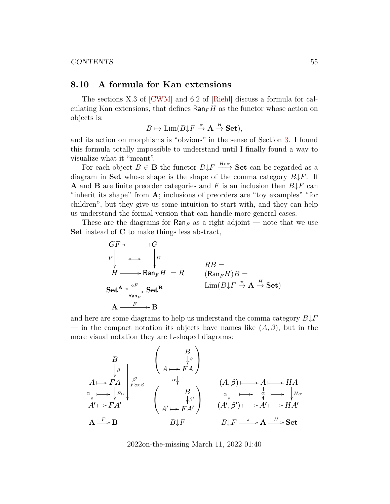#### CONTENTS 55

### <span id="page-54-0"></span>**8.10 A formula for Kan extensions**

The sections X.3 of [\[CWM\]](#page-60-2) and 6.2 of [\[Riehl\]](#page-63-3) discuss a formula for calculating Kan extensions, that defines  $\text{Ran}_F H$  as the functor whose action on objects is:

$$
B \mapsto \text{Lim}(B \downarrow F \stackrel{\pi}{\to} \mathbf{A} \stackrel{H}{\to} \mathbf{Set}),
$$

and its action on morphisms is "obvious" in the sense of Section [3.](#page-12-0) I found this formula totally impossible to understand until I finally found a way to visualize what it "meant".

For each object  $B \in \mathbf{B}$  the functor  $B \downarrow F \xrightarrow{H \circ \pi} \mathbf{Set}$  can be regarded as a diagram in Set whose shape is the shape of the comma category  $B\downarrow F$ . If **A** and **B** are finite preorder categories and F is an inclusion then  $B\downarrow F$  can "inherit its shape" from A; inclusions of preorders are "toy examples" "for children", but they give us some intuition to start with, and they can help us understand the formal version that can handle more general cases.

These are the diagrams for  $\text{Ran}_F$  as a right adjoint — note that we use Set instead of C to make things less abstract,

$$
GF \longleftrightarrow G
$$
  
\n
$$
V \downarrow \longleftrightarrow V
$$
  
\n
$$
H \longmapsto \text{Ran}_F H = R
$$
  
\n
$$
\text{Set}^{\mathbf{A}} \xrightarrow{\circ F} \text{Set}^{\mathbf{B}}
$$
  
\n
$$
\text{Set}^{\mathbf{A}} \xrightarrow{\circ F} \text{Set}^{\mathbf{B}}
$$
  
\n
$$
\text{Lim}(B \downarrow F \stackrel{\pi}{\to} \text{A} \stackrel{H}{\to} \text{Set})
$$
  
\n
$$
\text{A} \xrightarrow{F} \text{B}
$$

and here are some diagrams to help us understand the comma category  $B\downarrow F$ — in the compact notation its objects have names like  $(A, \beta)$ , but in the more visual notation they are L-shaped diagrams:

$$
\begin{array}{ccc}\nB & \downarrow & \downarrow & \downarrow & \downarrow & \downarrow & \downarrow & \downarrow & \downarrow & \downarrow & \downarrow & \downarrow & \downarrow & \downarrow & \downarrow & \downarrow & \downarrow & \downarrow & \downarrow & \downarrow & \downarrow & \downarrow & \downarrow & \downarrow & \downarrow & \downarrow & \downarrow & \downarrow & \downarrow & \downarrow & \downarrow & \downarrow & \downarrow & \downarrow & \downarrow & \downarrow & \downarrow & \downarrow & \downarrow & \downarrow & \downarrow & \downarrow & \downarrow & \downarrow & \downarrow & \downarrow & \downarrow & \downarrow & \downarrow & \downarrow & \downarrow & \downarrow & \downarrow & \downarrow & \downarrow & \downarrow & \downarrow & \downarrow & \downarrow & \downarrow & \downarrow & \downarrow & \downarrow & \downarrow & \downarrow & \downarrow & \downarrow & \downarrow & \downarrow & \downarrow & \downarrow & \downarrow & \downarrow & \downarrow & \downarrow & \downarrow & \downarrow & \downarrow & \downarrow & \downarrow & \downarrow & \downarrow & \downarrow & \downarrow & \downarrow & \downarrow & \downarrow & \downarrow & \downarrow & \downarrow & \downarrow & \downarrow & \downarrow & \downarrow & \downarrow & \downarrow & \downarrow & \downarrow & \downarrow & \downarrow & \downarrow & \downarrow & \downarrow & \downarrow & \downarrow & \downarrow & \downarrow & \downarrow & \downarrow & \downarrow & \downarrow & \downarrow & \downarrow & \downarrow & \downarrow & \downarrow & \downarrow & \downarrow & \downarrow & \downarrow & \downarrow & \downarrow & \downarrow & \downarrow & \downarrow & \downarrow &
$$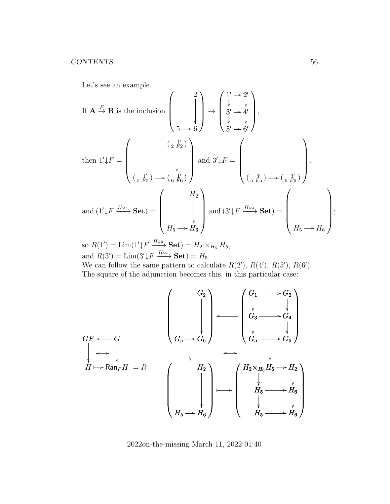Let's see an example.

If 
$$
\mathbf{A} \stackrel{F}{\rightarrow} \mathbf{B}
$$
 is the inclusion 
$$
\begin{pmatrix} 2 \\ 1' \downarrow \\ 3' \rightarrow 4' \\ 5 \rightarrow 6 \end{pmatrix} \rightarrow \begin{pmatrix} 1' \rightarrow 2' \\ 3' \downarrow \\ 5' \rightarrow 6' \end{pmatrix},
$$
  
then  $1' \downarrow F = \begin{pmatrix} \left(\begin{array}{c} 2 & 1' \\ 2 & 1'' \end{array}\right) & \text{and } 3' \downarrow F = \begin{pmatrix} \left(\begin{array}{c} 2 & 1' \\ 3' \rightarrow 6' \end{array}\right) & \text{and } 3' \downarrow F = \begin{pmatrix} \left(\begin{array}{c} 2 & 1' \\ 3' \end{array}\right) & \text{and } 3' \downarrow F = \begin{pmatrix} \left(\begin{array}{c} 2 & 1' \\ 3' \end{array}\right) & \text{and } 3' \downarrow F = \begin{pmatrix} \left(\begin{array}{c} 2 & 1' \\ 3' \end{array}\right) & \text{and } 3' \downarrow F = \begin{pmatrix} \left(\begin{array}{c} 2 & 1' \\ 3' \end{array}\right) & \text{and } 3' \downarrow F = \begin{pmatrix} \left(\begin{array}{c} 2 & 1' \\ 3' \end{array}\right) & \text{and } 3' \downarrow F = \begin{pmatrix} \left(\begin{array}{c} 2 & 1' \\ 3' \end{array}\right) & \text{and } 3' \downarrow F = \begin{pmatrix} \left(\begin{array}{c} 2 & 1' \\ 3' \end{array}\right) & \text{and } 3' \downarrow F = \begin{array}{c} \left(\begin{array}{c} 2 & 1 \\ 3' \end{array}\right) & \text{and } 3' \downarrow F = \begin{array}{c} \left(\begin{array}{c} 2 & 1 \\ 3' \end{array}\right) & \text{and } 3' \downarrow F = \begin{array}{c} \left(\begin{array}{c} 2 & 1 \\ 3' \end{array}\right) & \text{and } 3' \downarrow F = \begin{array}{c} \left(\begin{array}{c} 2 & 1 \\ 3' \end{array}\right) & \text{and } 3' \downarrow F = \begin{array}{c} \left(\begin{array}{c} 2 & 1 \\ 3' \end{array}\right) & \$ 

so  $R(1') = \lim(1'\downarrow F \xrightarrow{H \circ \pi} \mathbf{Set}) = H_2 \times_{H_6} H_5,$ and  $R(3') = \lim_{s \to \infty} (3'\sqrt{F} \xrightarrow{H \circ \pi} \textbf{Set}) = H_5.$ We can follow the same pattern to calculate  $R(2')$ ,  $R(4')$ ,  $R(5')$ ,  $R(6')$ .

The square of the adjunction becomes this, in this particular case:

$$
GF \leftarrow G
$$
\n
$$
\begin{pmatrix}\nG_F \\
G_F \\
G_S\n\end{pmatrix}\n\begin{pmatrix}\nG_2 \\
\downarrow \\
G_3\n\end{pmatrix}\n\begin{pmatrix}\nG_1 \longrightarrow G_2 \\
\downarrow \\
G_3 \longrightarrow G_4 \\
\downarrow \\
G_5 \longrightarrow G_6\n\end{pmatrix}
$$
\n
$$
H \mapsto \text{Ran}_F H = R
$$
\n
$$
\begin{pmatrix}\nH_2 \\
\downarrow \\
H_5 \longrightarrow H_6\n\end{pmatrix}\n\begin{pmatrix}\nH_2 \times_{H_6} H_5 \longrightarrow H_2 \\
\downarrow \\
H_5 \longrightarrow H_6\n\end{pmatrix}
$$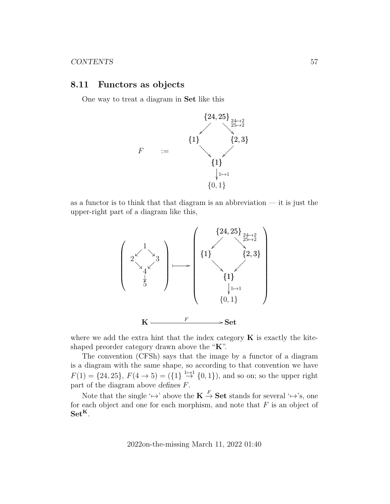#### <span id="page-56-0"></span>**8.11 Functors as objects**

One way to treat a diagram in Set like this



as a functor is to think that that diagram is an abbreviation  $-$  it is just the upper-right part of a diagram like this,



where we add the extra hint that the index category  $\bf{K}$  is exactly the kiteshaped preorder category drawn above the "K".

The convention (CFSh) says that the image by a functor of a diagram is a diagram with the same shape, so according to that convention we have  $F(1) = \{24, 25\}, F(4 \to 5) = (\{1\} \stackrel{1 \to 1}{\to} \{0, 1\}), \text{ and so on; so the upper right}$ part of the diagram above defines  $F$ .

Note that the single ' $\mapsto$ ' above the  $\mathbf{K} \stackrel{F}{\to} \mathbf{Set}$  stands for several ' $\mapsto$ 's, one for each object and one for each morphism, and note that  $F$  is an object of  $Set<sup>K</sup>$ .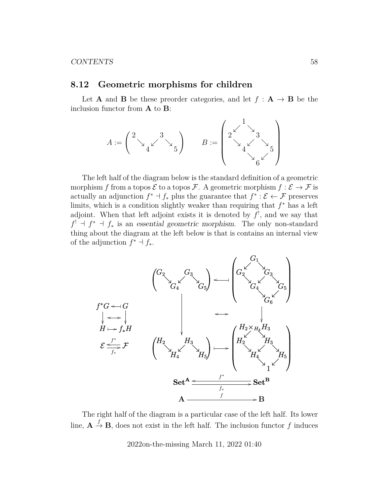#### <span id="page-57-0"></span>**8.12 Geometric morphisms for children**

Let **A** and **B** be these preorder categories, and let  $f : A \rightarrow B$  be the inclusion functor from A to B:

$$
A:=\begin{pmatrix}2& & & \\ &\searrow & & \searrow \\ & &4\end{pmatrix}\hspace{1cm} B:=\begin{pmatrix}1& & & \\ 2&\searrow &3& \\ &\searrow & & \searrow \\ & &4\end{pmatrix}\begin{pmatrix}1& & & \\ &3& & \\ &\searrow & & \searrow \\ & &\searrow & & \searrow \\ & & &\searrow & & \searrow\end{pmatrix}
$$

The left half of the diagram below is the standard definition of a geometric morphism f from a topos  $\mathcal E$  to a topos  $\mathcal F$ . A geometric morphism  $f : \mathcal E \to \mathcal F$  is actually an adjunction  $f^* \dashv f_*$  plus the guarantee that  $f^* : \mathcal{E} \leftarrow \mathcal{F}$  preserves limits, which is a condition slightly weaker than requiring that  $f^*$  has a left adjoint. When that left adjoint exists it is denoted by  $f'$ , and we say that  $f' + f^* + f^*$  is an essential geometric morphism. The only non-standard thing about the diagram at the left below is that is contains an internal view of the adjunction  $f^* \dashv f_*$ .



The right half of the diagram is a particular case of the left half. Its lower line,  $A \stackrel{f}{\rightarrow} B$ , does not exist in the left half. The inclusion functor f induces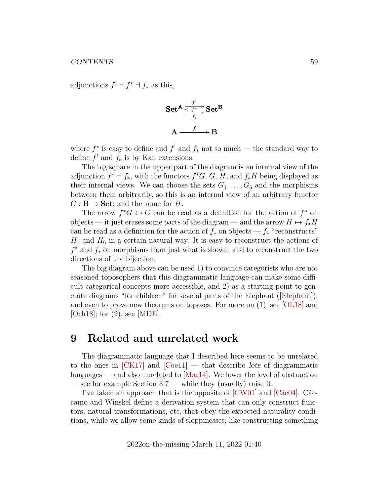adjunctions  $f' \dashv f^* \dashv f_*$  as this,

Set<sup>A</sup> 
$$
\xrightarrow{f' \atop f_*} \text{Set}^B
$$
  
A  $\xrightarrow{f \atop f_*} B$ 

where  $f^*$  is easy to define and  $f^!$  and  $f_*$  not so much — the standard way to define  $f'$  and  $f_*$  is by Kan extensions.

The big square in the upper part of the diagram is an internal view of the adjunction  $f^* \dashv f_*$ , with the functors  $f^*G$ , G, H, and  $f_*H$  being displayed as their internal views. We can choose the sets  $G_1, \ldots, G_6$  and the morphisms between them arbitrarily, so this is an internal view of an arbitrary functor  $G: \mathbf{B} \to \mathbf{Set}$ ; and the same for H.

The arrow  $f^*G \leftarrow G$  can be read as a definition for the action of  $f^*$  on<br>existent is instanced some parts of the diagram and the arrow  $H \rightarrow f H$ objects — it just erases some parts of the diagram — and the arrow  $H \mapsto f_*H$ can be read as a definition for the action of  $f_*$  on objects —  $f_*$  "reconstructs"  $H_1$  and  $H_6$  in a certain natural way. It is easy to reconstruct the actions of  $f^*$  and  $f_*$  on morphisms from just what is shown, and to reconstruct the two directions of the bijection.

The big diagram above can be used 1) to convince categorists who are not seasoned toposophers that this diagrammatic language can make some difficult categorical concepts more accessible, and 2) as a starting point to generate diagrams "for children" for several parts of the Elephant([\[Elephant\]](#page-60-4)), and even to prove new theorems on toposes. For more on (1), see [\[OL18\]](#page-63-1) and [\[Och18\]](#page-62-8); for (2), see [\[MDE\]](#page-62-1).

## <span id="page-58-0"></span>**9 Related and unrelated work**

The diagrammatic language that I described here seems to be unrelated to the ones in  $\text{[CK17]}$  and  $\text{[Coe11]}$  — that describe lots of diagrammatic languages — and also unrelated to [\[Mar14\]](#page-62-7). We lower the level of abstraction — see for example Section  $8.7$  — while they (usually) raise it.

I've taken an approach that is the opposite of [\[CW01\]](#page-60-7) and [\[Các04\]](#page-60-8). Cáccamo and Winskel define a derivation system that can only construct functors, natural transformations, etc, that obey the expected naturality conditions, while we allow some kinds of sloppinesses, like constructing something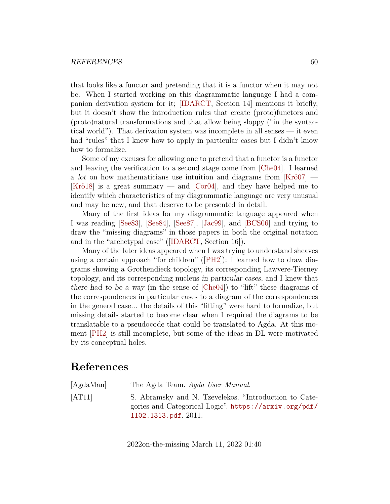that looks like a functor and pretending that it is a functor when it may not be. When I started working on this diagrammatic language I had a companion derivation system for it; [\[IDARCT,](#page-61-1) Section 14] mentions it briefly, but it doesn't show the introduction rules that create (proto)functors and (proto)natural transformations and that allow being sloppy ("in the syntactical world"). That derivation system was incomplete in all senses — it even had "rules" that I knew how to apply in particular cases but I didn't know how to formalize.

Some of my excuses for allowing one to pretend that a functor is a functor and leaving the verification to a second stage come from [\[Che04\]](#page-60-9). I learned a lot on how mathematicians use intuition and diagrams from [\[Krö07\]](#page-61-0) — [\[Krö18\]](#page-62-9) is a great summary — and [\[Cor04\]](#page-60-10), and they have helped me to identify which characteristics of my diagrammatic language are very unusual and may be new, and that deserve to be presented in detail.

Many of the first ideas for my diagrammatic language appeared when I was reading [\[See83\]](#page-63-7), [\[See84\]](#page-63-8), [\[See87\]](#page-64-5), [\[Jac99\]](#page-61-9), and [\[BCS06\]](#page-60-11) and trying to draw the "missing diagrams" in those papers in both the original notation and in the "archetypal case"([\[IDARCT,](#page-61-1) Section 16]).

Many of the later ideas appeared when I was trying to understand sheaves using a certain approach "for children"([\[PH2\]](#page-63-9)): I learned how to draw diagrams showing a Grothendieck topology, its corresponding Lawvere-Tierney topology, and its corresponding nucleus in particular cases, and I knew that there had to be a way (in the sense of [\[Che04\]](#page-60-9)) to "lift" these diagrams of the correspondences in particular cases to a diagram of the correspondences in the general case... the details of this "lifting" were hard to formalize, but missing details started to become clear when I required the diagrams to be translatable to a pseudocode that could be translated to Agda. At this moment [\[PH2\]](#page-63-9) is still incomplete, but some of the ideas in DL were motivated by its conceptual holes.

## **References**

<span id="page-59-1"></span><span id="page-59-0"></span>

| [AgdaMan] | The Agda Team. Agda User Manual.                                                                                                            |
|-----------|---------------------------------------------------------------------------------------------------------------------------------------------|
| [AT11]    | S. Abramsky and N. Tzevelekos. "Introduction to Cate-<br>gories and Categorical Logic". https://arxiv.org/pdf/<br>$1102.1313.pdf$ . $2011.$ |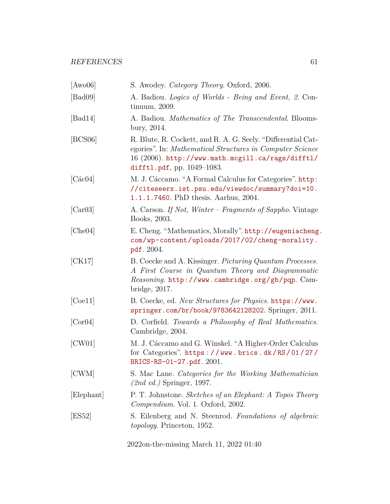<span id="page-60-11"></span><span id="page-60-10"></span><span id="page-60-9"></span><span id="page-60-8"></span><span id="page-60-7"></span><span id="page-60-6"></span><span id="page-60-5"></span><span id="page-60-4"></span><span id="page-60-3"></span><span id="page-60-2"></span><span id="page-60-1"></span><span id="page-60-0"></span>

| [Aw006]    | S. Awodey. <i>Category Theory</i> . Oxford, 2006.                                                                                                                                                                 |
|------------|-------------------------------------------------------------------------------------------------------------------------------------------------------------------------------------------------------------------|
| [Bad09]    | A. Badiou. <i>Logics of Worlds - Being and Event</i> , 2. Con-<br>$t$ inuum, 2009.                                                                                                                                |
| [Bad14]    | A. Badiou. <i>Mathematics of The Transcendental</i> . Blooms-<br>bury, 2014.                                                                                                                                      |
| [BCS06]    | R. Blute, R. Cockett, and R. A. G. Seely. "Differential Cat-<br>egories". In: Mathematical Structures in Computer Science<br>16 (2006). http://www.math.mcgill.ca/rags/difftl/<br>difftl.pdf, pp. $1049 - 1083$ . |
| [Các04]    | M. J. Cáccamo. "A Formal Calculus for Categories". http:<br>//citeseerx.ist.psu.edu/viewdoc/summary?doi=10.<br>1.1.1.7460. PhD thesis. Aarhus, 2004.                                                              |
| [Car03]    | A. Carson. If Not, Winter – Fragments of Sappho. Vintage<br>Books, 2003.                                                                                                                                          |
| [Che04]    | E. Cheng. "Mathematics, Morally". http://eugeniacheng.<br>com/wp-content/uploads/2017/02/cheng-morality.<br>pdf. 2004.                                                                                            |
| [CK17]     | B. Coecke and A. Kissinger. <i>Picturing Quantum Processes</i> .<br>A First Course in Quantum Theory and Diagrammatic<br>$Reasoning$ . http://www.cambridge.org/gb/pqp. $Cam$ -<br>bridge, 2017.                  |
| [Ce11]     | B. Coecke, ed. New Structures for Physics. https://www.<br>springer.com/br/book/9783642128202. Springer, 2011.                                                                                                    |
| [Cor04]    | D. Corfield. Towards a Philosophy of Real Mathematics.<br>Cambridge, 2004.                                                                                                                                        |
| [CW01]     | M. J. Cáccamo and G. Winskel. "A Higher-Order Calculus<br>for Categories". https://www.brics.dk/RS/01/27/<br>BRICS-RS-01-27.pdf. 2001.                                                                            |
| [CWM]      | S. Mac Lane. Categories for the Working Mathematician<br>$(2nd \text{ ed.})$ Springer, 1997.                                                                                                                      |
| [Elephant] | P. T. Johnstone. Sketches of an Elephant: A Topos Theory<br>Compendium. Vol. 1. Oxford, 2002.                                                                                                                     |
| ES52       | S. Eilenberg and N. Steenrod. Foundations of algebraic<br><i>topology.</i> Princeton, 1952.                                                                                                                       |
|            |                                                                                                                                                                                                                   |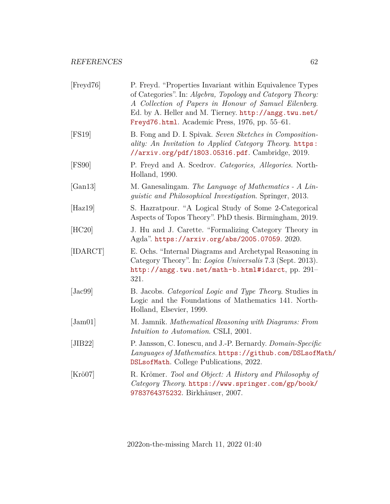<span id="page-61-9"></span><span id="page-61-8"></span><span id="page-61-7"></span><span id="page-61-6"></span><span id="page-61-5"></span><span id="page-61-4"></span><span id="page-61-3"></span><span id="page-61-2"></span><span id="page-61-1"></span><span id="page-61-0"></span>

| [Freyd76]             | P. Freyd. "Properties Invariant within Equivalence Types<br>of Categories". In: Algebra, Topology and Category Theory:<br>A Collection of Papers in Honour of Samuel Eilenberg.<br>Ed. by A. Heller and M. Tierney. http://angg.twu.net/<br>Freyd76.html. Academic Press, 1976, pp. 55-61. |
|-----------------------|--------------------------------------------------------------------------------------------------------------------------------------------------------------------------------------------------------------------------------------------------------------------------------------------|
| [FS19]                | B. Fong and D. I. Spivak. Seven Sketches in Composition-<br>ality: An Invitation to Applied Category Theory. https:<br>//arxiv.org/pdf/1803.05316.pdf. Cambridge, 2019.                                                                                                                    |
| [FS90]                | P. Freyd and A. Scedrov. Categories, Allegories. North-<br>Holland, 1990.                                                                                                                                                                                                                  |
| [Gan13]               | M. Ganesalingam. The Language of Mathematics - A Lin-<br><i>guistic and Philosophical Investigation.</i> Springer, 2013.                                                                                                                                                                   |
| [Has19]               | S. Hazratpour. "A Logical Study of Some 2-Categorical<br>Aspects of Topos Theory". PhD thesis. Birmingham, 2019.                                                                                                                                                                           |
| [HC20]                | J. Hu and J. Carette. "Formalizing Category Theory in<br>Agda". https://arxiv.org/abs/2005.07059.2020.                                                                                                                                                                                     |
| [IDARCT]              | E. Ochs. "Internal Diagrams and Archetypal Reasoning in<br>Category Theory". In: Logica Universalis 7.3 (Sept. 2013).<br>http://angg.twu.net/math-b.html#idarct, pp. 291-<br>321.                                                                                                          |
| [Jac99]               | B. Jacobs. Categorical Logic and Type Theory. Studies in<br>Logic and the Foundations of Mathematics 141. North-<br>Holland, Elsevier, 1999.                                                                                                                                               |
| $\vert$ Jam01 $\vert$ | M. Jamnik. Mathematical Reasoning with Diagrams: From<br>Intuition to Automation. CSLI, 2001.                                                                                                                                                                                              |
| [JIB22]               | P. Jansson, C. Ionescu, and J.-P. Bernardy. Domain-Specific<br>Languages of Mathematics. https://github.com/DSLsofMath/<br>DSLsofMath. College Publications, 2022.                                                                                                                         |
| $[Kr\ddot{o}07]$      | R. Krömer. Tool and Object: A History and Philosophy of<br>Category Theory. https://www.springer.com/gp/book/<br>9783764375232. Birkhäuser, 2007.                                                                                                                                          |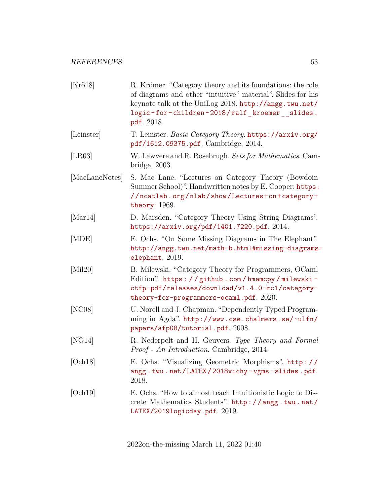<span id="page-62-9"></span><span id="page-62-8"></span><span id="page-62-7"></span><span id="page-62-6"></span><span id="page-62-5"></span><span id="page-62-4"></span><span id="page-62-3"></span><span id="page-62-2"></span><span id="page-62-1"></span><span id="page-62-0"></span>

| R. Krömer. "Category theory and its foundations: the role<br>of diagrams and other "intuitive" material". Slides for his<br>keynote talk at the UniLog 2018. http://angg.twu.net/<br>logic-for-children-2018/ralf_kroemer__slides.<br>pdf. 2018. |
|--------------------------------------------------------------------------------------------------------------------------------------------------------------------------------------------------------------------------------------------------|
| T. Leinster. Basic Category Theory. https://arxiv.org/<br>pdf/1612.09375.pdf. Cambridge, 2014.                                                                                                                                                   |
| W. Lawvere and R. Rosebrugh. Sets for Mathematics. Cam-<br>bridge, 2003.                                                                                                                                                                         |
| S. Mac Lane. "Lectures on Category Theory (Bowdoin<br>Summer School)". Handwritten notes by E. Cooper: https:<br>//ncatlab.org/nlab/show/Lectures+on+category+<br>theory. 1969.                                                                  |
| D. Marsden. "Category Theory Using String Diagrams".<br>https://arxiv.org/pdf/1401.7220.pdf. 2014.                                                                                                                                               |
| E. Ochs. "On Some Missing Diagrams in The Elephant".<br>http://angg.twu.net/math-b.html#missing-diagrams-<br>elephant. 2019.                                                                                                                     |
| B. Milewski. "Category Theory for Programmers, OCaml<br>Edition". https://github.com/hmemcpy/milewski-<br>ctfp-pdf/releases/download/v1.4.0-rc1/category-<br>theory-for-programmers-ocaml.pdf. 2020.                                             |
| U. Norell and J. Chapman. "Dependently Typed Program-<br>ming in Agda". http://www.cse.chalmers.se/~ulfn/<br>papers/afp08/tutorial.pdf. 2008.                                                                                                    |
| R. Nederpelt and H. Geuvers. Type Theory and Formal<br><i>Proof - An Introduction.</i> Cambridge, 2014.                                                                                                                                          |
| E. Ochs. "Visualizing Geometric Morphisms". http://<br>angg.twu.net/LATEX/2018vichy-vgms-slides.pdf.<br>2018.                                                                                                                                    |
| E. Ochs. "How to almost teach Intuitionistic Logic to Dis-<br>crete Mathematics Students". http://angg.twu.net/<br>LATEX/2019logicday.pdf. 2019.                                                                                                 |
|                                                                                                                                                                                                                                                  |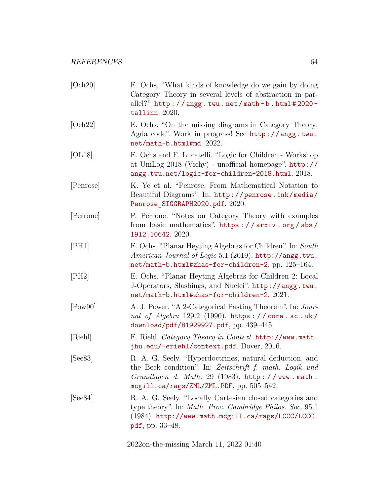<span id="page-63-9"></span><span id="page-63-8"></span><span id="page-63-7"></span><span id="page-63-6"></span><span id="page-63-5"></span><span id="page-63-4"></span><span id="page-63-3"></span><span id="page-63-2"></span><span id="page-63-1"></span><span id="page-63-0"></span>

| [Och20]   | E. Ochs. "What kinds of knowledge do we gain by doing<br>Category Theory in several levels of abstraction in par-<br>allel?" $http://angg.twu.net/math-b.html #2020-$<br>tallinn. 2020.                           |
|-----------|-------------------------------------------------------------------------------------------------------------------------------------------------------------------------------------------------------------------|
| [Och22]   | E. Ochs. "On the missing diagrams in Category Theory:<br>Agda code". Work in progress! See http://angg.twu.<br>net/math-b.html#md. 2022.                                                                          |
| [OL18]    | E. Ochs and F. Lucatelli. "Logic for Children - Workshop<br>at UniLog $2018$ (Vichy) - unofficial homepage". $http://$<br>angg.twu.net/logic-for-children-2018.html. 2018.                                        |
| [Penrose] | K. Ye et al. "Penrose: From Mathematical Notation to<br>Beautiful Diagrams". In: http://penrose.ink/media/<br>Penrose_SIGGRAPH2020.pdf. 2020.                                                                     |
| [Perrone] | P. Perrone. "Notes on Category Theory with examples<br>from basic mathematics". https://arxiv.org/abs/<br>1912.10642.2020.                                                                                        |
| [PH1]     | E. Ochs. "Planar Heyting Algebras for Children". In: South<br><i>American Journal of Logic</i> 5.1 (2019). http://angg.twu.<br>net/math-b.html#zhas-for-children-2, pp. 125-164.                                  |
| [PH2]     | E. Ochs. "Planar Heyting Algebras for Children 2: Local<br>J-Operators, Slashings, and Nuclei". http://angg.twu.<br>net/math-b.html#zhas-for-children-2. 2021.                                                    |
| [Pow90]   | A. J. Power. "A 2-Categorical Pasting Theorem". In: Jour-<br>nal of Algebra 129.2 (1990). https://core.ac.uk/<br>download/pdf/81929927.pdf, pp. 439-445.                                                          |
| [Riehl]   | E. Riehl. <i>Category Theory in Context.</i> http://www.math.<br>jhu.edu/~eriehl/context.pdf. Dover, 2016.                                                                                                        |
| [See 83]  | R. A. G. Seely. "Hyperdoctrines, natural deduction, and<br>the Beck condition". In: Zeitschrift f. math. Logik und<br>Grundlagen d. Math. 29 (1983). http://www.math.<br>mcgill.ca/rags/ZML/ZML.PDF, pp. 505-542. |
| [See 84]  | R. A. G. Seely. "Locally Cartesian closed categories and<br>type theory". In: Math. Proc. Cambridge Philos. Soc. 95.1<br>(1984). http://www.math.mcgill.ca/rags/LCCC/LCCC.<br>pdf, pp. 33–48.                     |